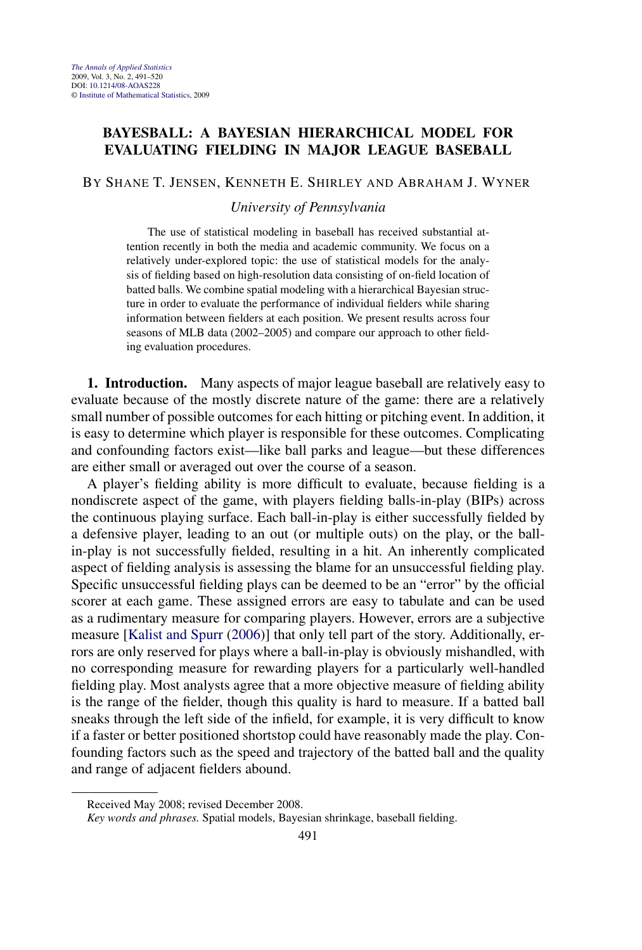# <span id="page-0-0"></span>**BAYESBALL: A BAYESIAN HIERARCHICAL MODEL FOR EVALUATING FIELDING IN MAJOR LEAGUE BASEBALL**

BY SHANE T. JENSEN, KENNETH E. SHIRLEY AND ABRAHAM J. WYNER

*University of Pennsylvania*

The use of statistical modeling in baseball has received substantial attention recently in both the media and academic community. We focus on a relatively under-explored topic: the use of statistical models for the analysis of fielding based on high-resolution data consisting of on-field location of batted balls. We combine spatial modeling with a hierarchical Bayesian structure in order to evaluate the performance of individual fielders while sharing information between fielders at each position. We present results across four seasons of MLB data (2002–2005) and compare our approach to other fielding evaluation procedures.

**1. Introduction.** Many aspects of major league baseball are relatively easy to evaluate because of the mostly discrete nature of the game: there are a relatively small number of possible outcomes for each hitting or pitching event. In addition, it is easy to determine which player is responsible for these outcomes. Complicating and confounding factors exist—like ball parks and league—but these differences are either small or averaged out over the course of a season.

A player's fielding ability is more difficult to evaluate, because fielding is a nondiscrete aspect of the game, with players fielding balls-in-play (BIPs) across the continuous playing surface. Each ball-in-play is either successfully fielded by a defensive player, leading to an out (or multiple outs) on the play, or the ballin-play is not successfully fielded, resulting in a hit. An inherently complicated aspect of fielding analysis is assessing the blame for an unsuccessful fielding play. Specific unsuccessful fielding plays can be deemed to be an "error" by the official scorer at each game. These assigned errors are easy to tabulate and can be used as a rudimentary measure for comparing players. However, errors are a subjective measure [\[Kalist and Spurr](#page-29-0) [\(2006\)](#page-29-0)] that only tell part of the story. Additionally, errors are only reserved for plays where a ball-in-play is obviously mishandled, with no corresponding measure for rewarding players for a particularly well-handled fielding play. Most analysts agree that a more objective measure of fielding ability is the range of the fielder, though this quality is hard to measure. If a batted ball sneaks through the left side of the infield, for example, it is very difficult to know if a faster or better positioned shortstop could have reasonably made the play. Confounding factors such as the speed and trajectory of the batted ball and the quality and range of adjacent fielders abound.

Received May 2008; revised December 2008.

*Key words and phrases.* Spatial models, Bayesian shrinkage, baseball fielding.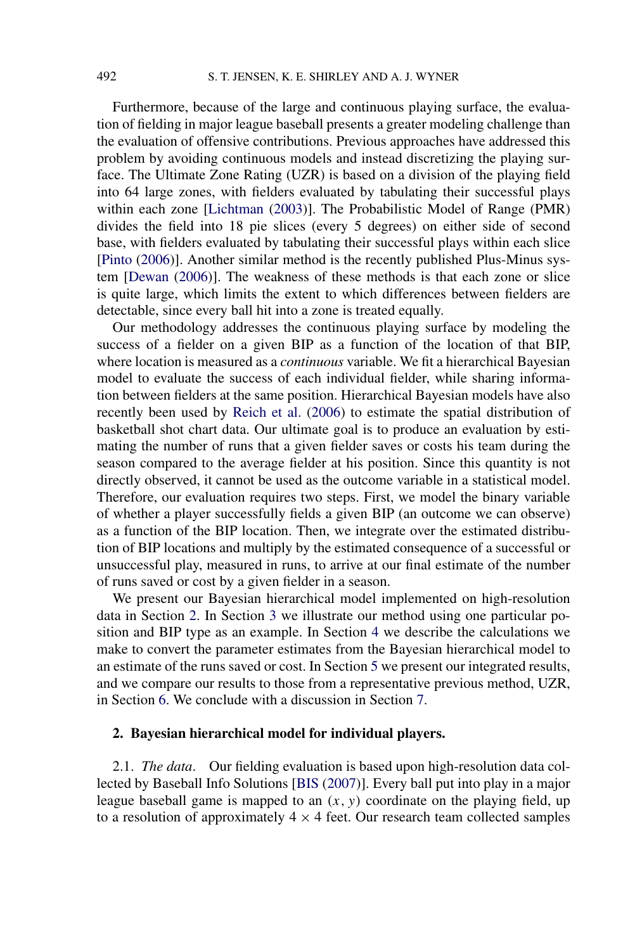Furthermore, because of the large and continuous playing surface, the evaluation of fielding in major league baseball presents a greater modeling challenge than the evaluation of offensive contributions. Previous approaches have addressed this problem by avoiding continuous models and instead discretizing the playing surface. The Ultimate Zone Rating (UZR) is based on a division of the playing field into 64 large zones, with fielders evaluated by tabulating their successful plays within each zone [\[Lichtman](#page-29-0) [\(2003\)](#page-29-0)]. The Probabilistic Model of Range (PMR) divides the field into 18 pie slices (every 5 degrees) on either side of second base, with fielders evaluated by tabulating their successful plays within each slice [\[Pinto](#page-29-0) [\(2006\)](#page-29-0)]. Another similar method is the recently published Plus-Minus system [\[Dewan](#page-28-0) [\(2006\)](#page-28-0)]. The weakness of these methods is that each zone or slice is quite large, which limits the extent to which differences between fielders are detectable, since every ball hit into a zone is treated equally.

Our methodology addresses the continuous playing surface by modeling the success of a fielder on a given BIP as a function of the location of that BIP, where location is measured as a *continuous* variable. We fit a hierarchical Bayesian model to evaluate the success of each individual fielder, while sharing information between fielders at the same position. Hierarchical Bayesian models have also recently been used by [Reich et al.](#page-29-0) [\(2006\)](#page-29-0) to estimate the spatial distribution of basketball shot chart data. Our ultimate goal is to produce an evaluation by estimating the number of runs that a given fielder saves or costs his team during the season compared to the average fielder at his position. Since this quantity is not directly observed, it cannot be used as the outcome variable in a statistical model. Therefore, our evaluation requires two steps. First, we model the binary variable of whether a player successfully fields a given BIP (an outcome we can observe) as a function of the BIP location. Then, we integrate over the estimated distribution of BIP locations and multiply by the estimated consequence of a successful or unsuccessful play, measured in runs, to arrive at our final estimate of the number of runs saved or cost by a given fielder in a season.

We present our Bayesian hierarchical model implemented on high-resolution data in Section 2. In Section [3](#page-7-0) we illustrate our method using one particular position and BIP type as an example. In Section [4](#page-16-0) we describe the calculations we make to convert the parameter estimates from the Bayesian hierarchical model to an estimate of the runs saved or cost. In Section [5](#page-22-0) we present our integrated results, and we compare our results to those from a representative previous method, UZR, in Section [6.](#page-26-0) We conclude with a discussion in Section [7.](#page-27-0)

### **2. Bayesian hierarchical model for individual players.**

2.1. *The data*. Our fielding evaluation is based upon high-resolution data collected by Baseball Info Solutions [\[BIS](#page-28-0) [\(2007\)](#page-28-0)]. Every ball put into play in a major league baseball game is mapped to an  $(x, y)$  coordinate on the playing field, up to a resolution of approximately  $4 \times 4$  feet. Our research team collected samples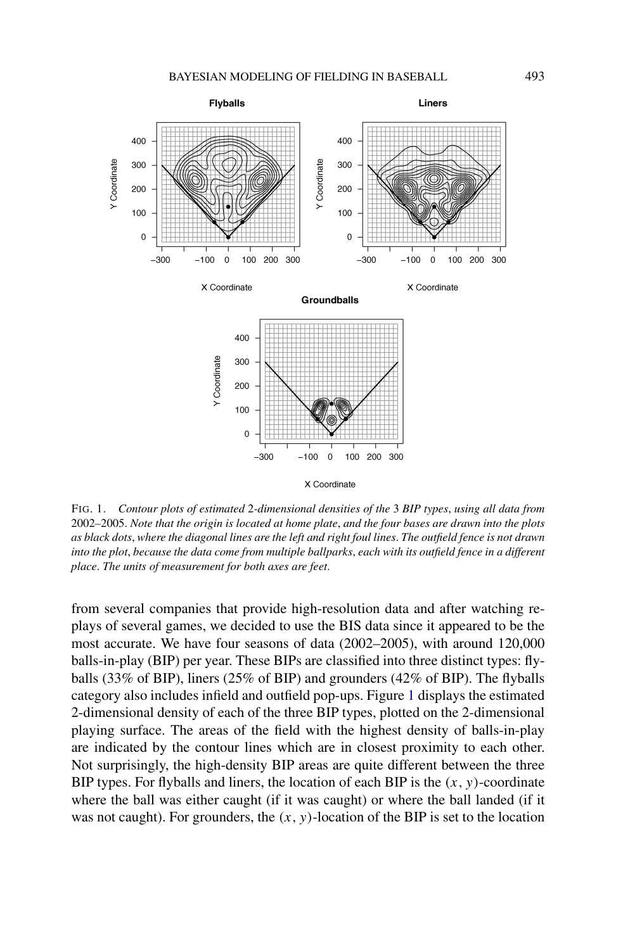<span id="page-2-0"></span>

FIG. 1. *Contour plots of estimated* 2*-dimensional densities of the* 3 *BIP types*, *using all data from* 2002*–*2005. *Note that the origin is located at home plate*, *and the four bases are drawn into the plots as black dots*, *where the diagonal lines are the left and right foul lines*. *The outfield fence is not drawn into the plot*, *because the data come from multiple ballparks*, *each with its outfield fence in a different place*. *The units of measurement for both axes are feet*.

from several companies that provide high-resolution data and after watching replays of several games, we decided to use the BIS data since it appeared to be the most accurate. We have four seasons of data (2002–2005), with around 120,000 balls-in-play (BIP) per year. These BIPs are classified into three distinct types: flyballs (33% of BIP), liners (25% of BIP) and grounders (42% of BIP). The flyballs category also includes infield and outfield pop-ups. Figure 1 displays the estimated 2-dimensional density of each of the three BIP types, plotted on the 2-dimensional playing surface. The areas of the field with the highest density of balls-in-play are indicated by the contour lines which are in closest proximity to each other. Not surprisingly, the high-density BIP areas are quite different between the three BIP types. For flyballs and liners, the location of each BIP is the  $(x, y)$ -coordinate where the ball was either caught (if it was caught) or where the ball landed (if it was not caught). For grounders, the  $(x, y)$ -location of the BIP is set to the location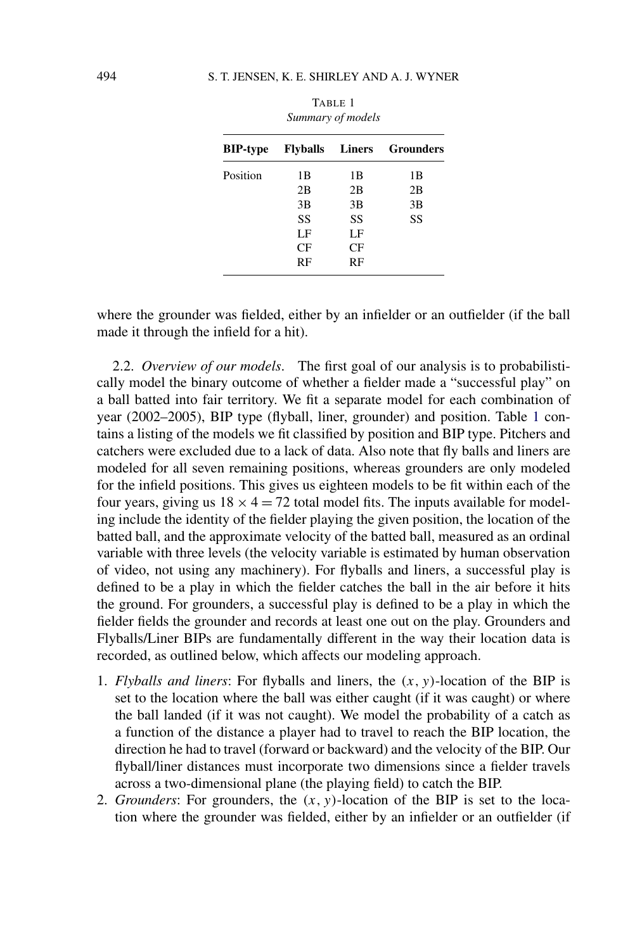<span id="page-3-0"></span>

| <b>BIP-type</b> |    |    | <b>Flyballs</b> Liners Grounders |
|-----------------|----|----|----------------------------------|
| Position        | 1B | 1B | 1B                               |
|                 | 2B | 2B | 2Β                               |
|                 | 3B | 3B | 3B                               |
|                 | SS | SS | SS                               |
|                 | LF | LF |                                  |
|                 | CF | CF |                                  |
|                 | RF | RF |                                  |
|                 |    |    |                                  |

TABLE 1 *Summary of models*

where the grounder was fielded, either by an infielder or an outfielder (if the ball made it through the infield for a hit).

2.2. *Overview of our models*. The first goal of our analysis is to probabilistically model the binary outcome of whether a fielder made a "successful play" on a ball batted into fair territory. We fit a separate model for each combination of year (2002–2005), BIP type (flyball, liner, grounder) and position. Table 1 contains a listing of the models we fit classified by position and BIP type. Pitchers and catchers were excluded due to a lack of data. Also note that fly balls and liners are modeled for all seven remaining positions, whereas grounders are only modeled for the infield positions. This gives us eighteen models to be fit within each of the four years, giving us  $18 \times 4 = 72$  total model fits. The inputs available for modeling include the identity of the fielder playing the given position, the location of the batted ball, and the approximate velocity of the batted ball, measured as an ordinal variable with three levels (the velocity variable is estimated by human observation of video, not using any machinery). For flyballs and liners, a successful play is defined to be a play in which the fielder catches the ball in the air before it hits the ground. For grounders, a successful play is defined to be a play in which the fielder fields the grounder and records at least one out on the play. Grounders and Flyballs/Liner BIPs are fundamentally different in the way their location data is recorded, as outlined below, which affects our modeling approach.

- 1. *Flyballs and liners*: For flyballs and liners, the *(x,y)*-location of the BIP is set to the location where the ball was either caught (if it was caught) or where the ball landed (if it was not caught). We model the probability of a catch as a function of the distance a player had to travel to reach the BIP location, the direction he had to travel (forward or backward) and the velocity of the BIP. Our flyball/liner distances must incorporate two dimensions since a fielder travels across a two-dimensional plane (the playing field) to catch the BIP.
- 2. *Grounders*: For grounders, the  $(x, y)$ -location of the BIP is set to the location where the grounder was fielded, either by an infielder or an outfielder (if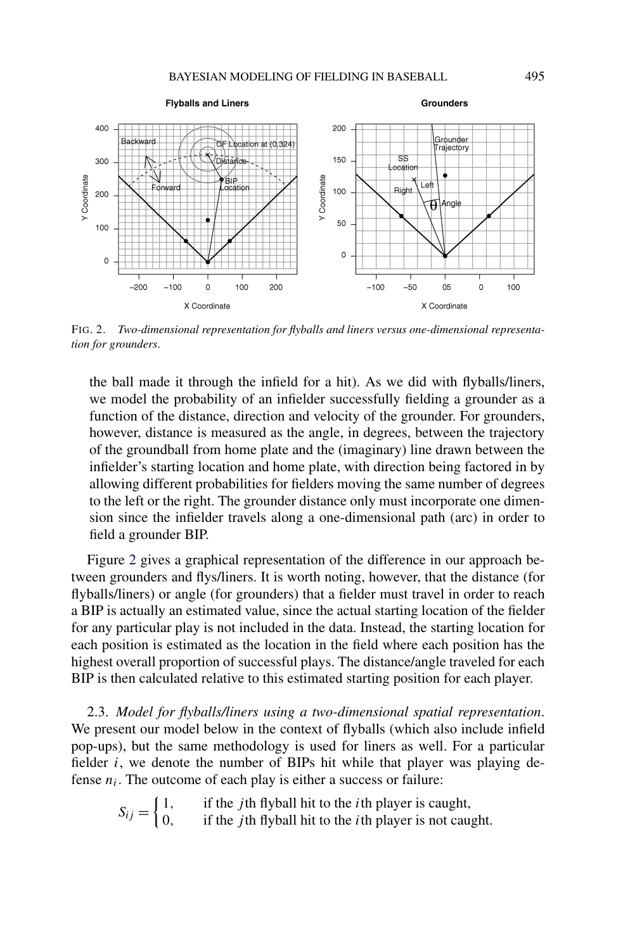<span id="page-4-0"></span>

FIG. 2. *Two-dimensional representation for flyballs and liners versus one-dimensional representation for grounders*.

the ball made it through the infield for a hit). As we did with flyballs/liners, we model the probability of an infielder successfully fielding a grounder as a function of the distance, direction and velocity of the grounder. For grounders, however, distance is measured as the angle, in degrees, between the trajectory of the groundball from home plate and the (imaginary) line drawn between the infielder's starting location and home plate, with direction being factored in by allowing different probabilities for fielders moving the same number of degrees to the left or the right. The grounder distance only must incorporate one dimension since the infielder travels along a one-dimensional path (arc) in order to field a grounder BIP.

Figure 2 gives a graphical representation of the difference in our approach between grounders and flys/liners. It is worth noting, however, that the distance (for flyballs/liners) or angle (for grounders) that a fielder must travel in order to reach a BIP is actually an estimated value, since the actual starting location of the fielder for any particular play is not included in the data. Instead, the starting location for each position is estimated as the location in the field where each position has the highest overall proportion of successful plays. The distance/angle traveled for each BIP is then calculated relative to this estimated starting position for each player.

2.3. *Model for flyballs/liners using a two-dimensional spatial representation*. We present our model below in the context of flyballs (which also include infield pop-ups), but the same methodology is used for liners as well. For a particular fielder  $i$ , we denote the number of BIPs hit while that player was playing defense  $n_i$ . The outcome of each play is either a success or failure:

 $S_{ij} = \left\{$ if the *j*th flyball hit to the *i*th player is caught, 0*,* if the *j* th flyball hit to the *i*th player is not caught.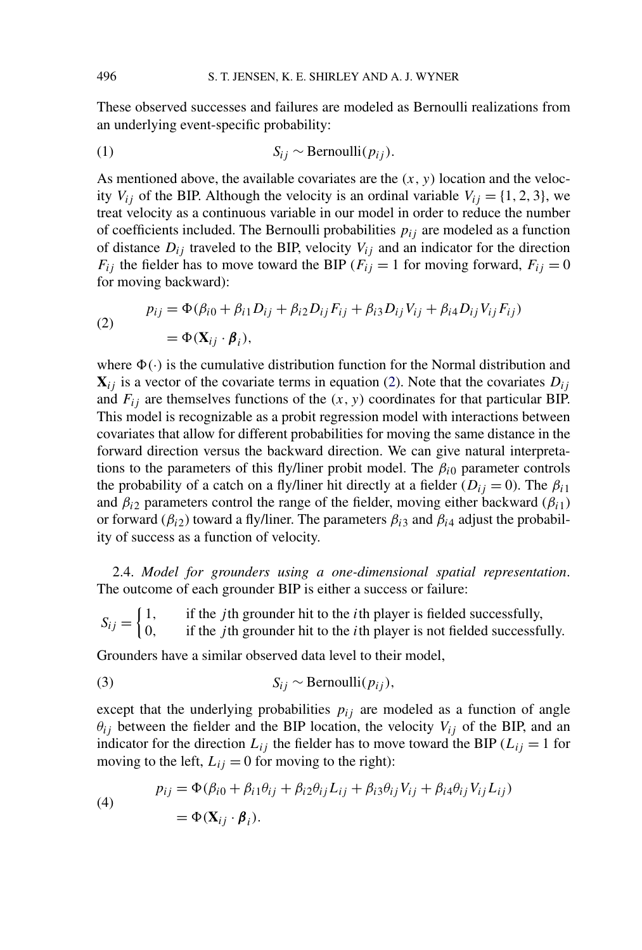<span id="page-5-0"></span>These observed successes and failures are modeled as Bernoulli realizations from an underlying event-specific probability:

$$
(1) \tS_{ij} \sim \text{Bernoulli}(p_{ij}).
$$

As mentioned above, the available covariates are the  $(x, y)$  location and the velocity  $V_{ij}$  of the BIP. Although the velocity is an ordinal variable  $V_{ij} = \{1, 2, 3\}$ , we treat velocity as a continuous variable in our model in order to reduce the number of coefficients included. The Bernoulli probabilities  $p_{ij}$  are modeled as a function of distance  $D_{ij}$  traveled to the BIP, velocity  $V_{ij}$  and an indicator for the direction  $F_{ij}$  the fielder has to move toward the BIP ( $F_{ij} = 1$  for moving forward,  $F_{ij} = 0$ for moving backward):

(2) 
$$
p_{ij} = \Phi(\beta_{i0} + \beta_{i1}D_{ij} + \beta_{i2}D_{ij}F_{ij} + \beta_{i3}D_{ij}V_{ij} + \beta_{i4}D_{ij}V_{ij}F_{ij})
$$

$$
= \Phi(\mathbf{X}_{ij} \cdot \boldsymbol{\beta}_i),
$$

where  $\Phi(\cdot)$  is the cumulative distribution function for the Normal distribution and  $\mathbf{X}_{ij}$  is a vector of the covariate terms in equation (2). Note that the covariates  $D_{ij}$ and  $F_{ij}$  are themselves functions of the  $(x, y)$  coordinates for that particular BIP. This model is recognizable as a probit regression model with interactions between covariates that allow for different probabilities for moving the same distance in the forward direction versus the backward direction. We can give natural interpretations to the parameters of this fly/liner probit model. The *βi*<sup>0</sup> parameter controls the probability of a catch on a fly/liner hit directly at a fielder ( $D_{ij} = 0$ ). The  $\beta_{i1}$ and  $\beta_{i2}$  parameters control the range of the fielder, moving either backward ( $\beta_{i1}$ ) or forward ( $\beta_{i2}$ ) toward a fly/liner. The parameters  $\beta_{i3}$  and  $\beta_{i4}$  adjust the probability of success as a function of velocity.

2.4. *Model for grounders using a one-dimensional spatial representation*. The outcome of each grounder BIP is either a success or failure:

 $S_{ij} = \left\{$ 1*,* if the *j* th grounder hit to the *i*th player is fielded successfully, if the *j*th grounder hit to the *i*th player is not fielded successfully.

Grounders have a similar observed data level to their model,

$$
(3) \tS_{ij} \sim \text{Bernoulli}(p_{ij}),
$$

except that the underlying probabilities  $p_{ij}$  are modeled as a function of angle  $\theta_{ij}$  between the fielder and the BIP location, the velocity  $V_{ij}$  of the BIP, and an indicator for the direction  $L_{ij}$  the fielder has to move toward the BIP ( $L_{ij} = 1$  for moving to the left,  $L_{ij} = 0$  for moving to the right):

(4)  
\n
$$
p_{ij} = \Phi(\beta_{i0} + \beta_{i1}\theta_{ij} + \beta_{i2}\theta_{ij}L_{ij} + \beta_{i3}\theta_{ij}V_{ij} + \beta_{i4}\theta_{ij}V_{ij}L_{ij})
$$
\n
$$
= \Phi(\mathbf{X}_{ij} \cdot \boldsymbol{\beta}_i).
$$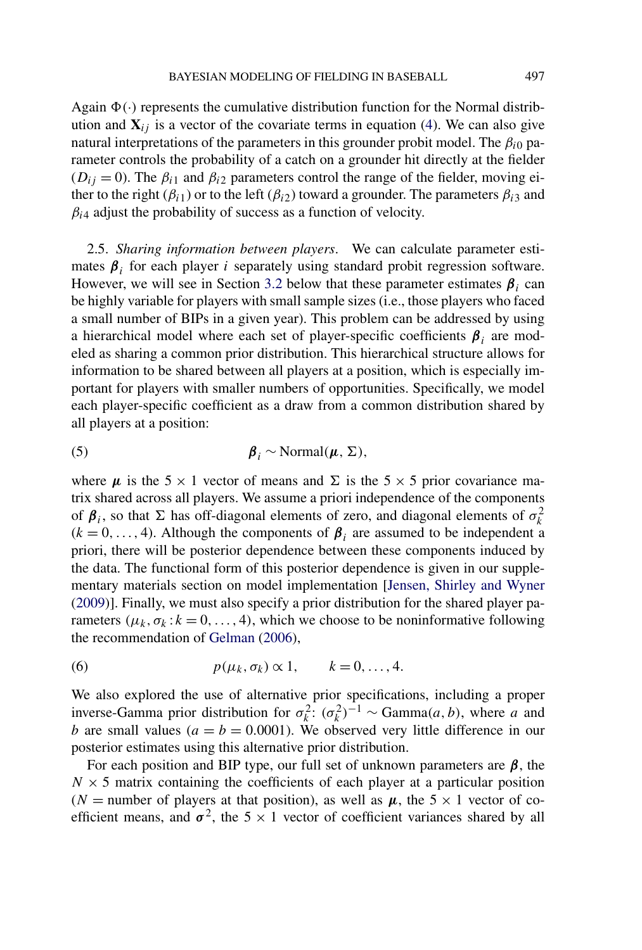<span id="page-6-0"></span>Again  $\Phi(\cdot)$  represents the cumulative distribution function for the Normal distribution and  $X_{ij}$  is a vector of the covariate terms in equation [\(4\)](#page-5-0). We can also give natural interpretations of the parameters in this grounder probit model. The  $\beta_{i0}$  parameter controls the probability of a catch on a grounder hit directly at the fielder  $(D_{ij} = 0)$ . The  $\beta_{i1}$  and  $\beta_{i2}$  parameters control the range of the fielder, moving either to the right ( $\beta_{i1}$ ) or to the left ( $\beta_{i2}$ ) toward a grounder. The parameters  $\beta_{i3}$  and  $\beta_{i4}$  adjust the probability of success as a function of velocity.

2.5. *Sharing information between players*. We can calculate parameter estimates  $\beta_i$  for each player *i* separately using standard probit regression software. However, we will see in Section [3.2](#page-9-0) below that these parameter estimates  $\beta_i$  can be highly variable for players with small sample sizes (i.e., those players who faced a small number of BIPs in a given year). This problem can be addressed by using a hierarchical model where each set of player-specific coefficients  $\beta_i$  are modeled as sharing a common prior distribution. This hierarchical structure allows for information to be shared between all players at a position, which is especially important for players with smaller numbers of opportunities. Specifically, we model each player-specific coefficient as a draw from a common distribution shared by all players at a position:

(5) 
$$
\boldsymbol{\beta}_i \sim \text{Normal}(\boldsymbol{\mu}, \boldsymbol{\Sigma}),
$$

where  $\mu$  is the 5  $\times$  1 vector of means and  $\Sigma$  is the 5  $\times$  5 prior covariance matrix shared across all players. We assume a priori independence of the components of  $\beta$ <sub>*i*</sub>, so that  $\Sigma$  has off-diagonal elements of zero, and diagonal elements of  $\sigma_k^2$  $(k = 0, \ldots, 4)$ . Although the components of  $\beta_i$  are assumed to be independent a priori, there will be posterior dependence between these components induced by the data. The functional form of this posterior dependence is given in our supplementary materials section on model implementation [\[Jensen, Shirley and Wyner](#page-29-0) [\(2009\)](#page-29-0)]. Finally, we must also specify a prior distribution for the shared player parameters  $(\mu_k, \sigma_k : k = 0, \ldots, 4)$ , which we choose to be noninformative following the recommendation of [Gelman](#page-28-0) [\(2006\)](#page-28-0),

(6) 
$$
p(\mu_k, \sigma_k) \propto 1, \qquad k = 0, \ldots, 4.
$$

We also explored the use of alternative prior specifications, including a proper inverse-Gamma prior distribution for  $\sigma_k^2$ :  $(\sigma_k^2)^{-1} \sim \text{Gamma}(a, b)$ , where *a* and *b* are small values ( $a = b = 0.0001$ ). We observed very little difference in our posterior estimates using this alternative prior distribution.

For each position and BIP type, our full set of unknown parameters are *β*, the  $N \times 5$  matrix containing the coefficients of each player at a particular position ( $N =$  number of players at that position), as well as  $\mu$ , the 5  $\times$  1 vector of coefficient means, and  $\sigma^2$ , the 5 × 1 vector of coefficient variances shared by all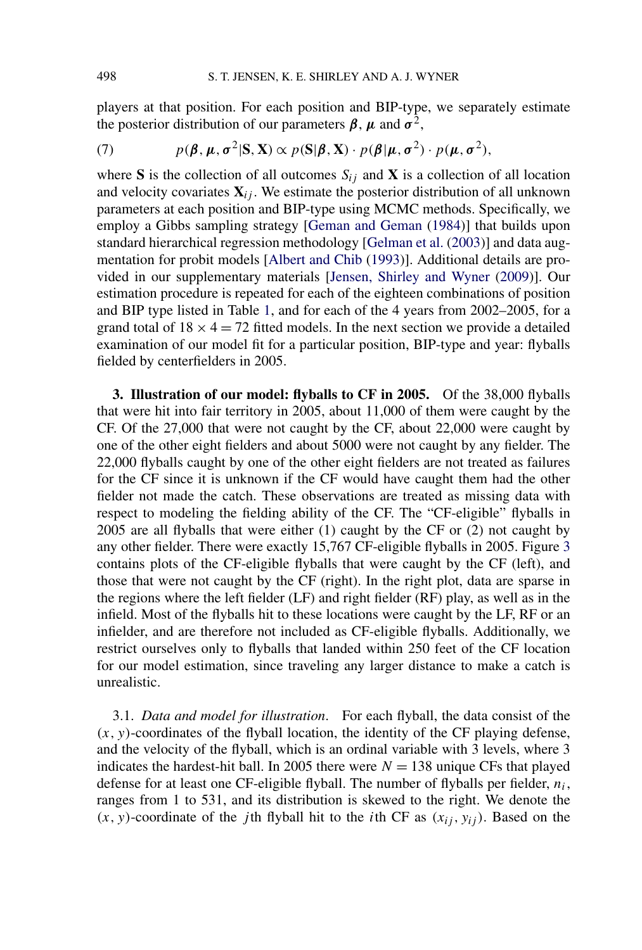<span id="page-7-0"></span>players at that position. For each position and BIP-type, we separately estimate the posterior distribution of our parameters  $\beta$ ,  $\mu$  and  $\sigma^2$ ,

(7) 
$$
p(\boldsymbol{\beta}, \boldsymbol{\mu}, \sigma^2 | \mathbf{S}, \mathbf{X}) \propto p(\mathbf{S} | \boldsymbol{\beta}, \mathbf{X}) \cdot p(\boldsymbol{\beta} | \boldsymbol{\mu}, \sigma^2) \cdot p(\boldsymbol{\mu}, \sigma^2),
$$

where **S** is the collection of all outcomes  $S_{ij}$  and **X** is a collection of all location and velocity covariates  $\mathbf{X}_{ij}$ . We estimate the posterior distribution of all unknown parameters at each position and BIP-type using MCMC methods. Specifically, we employ a Gibbs sampling strategy [\[Geman and Geman](#page-29-0) [\(1984\)](#page-29-0)] that builds upon standard hierarchical regression methodology [\[Gelman et al.](#page-29-0) [\(2003\)](#page-29-0)] and data augmentation for probit models [\[Albert and Chib](#page-28-0) [\(1993\)](#page-28-0)]. Additional details are provided in our supplementary materials [\[Jensen, Shirley and Wyner](#page-29-0) [\(2009\)](#page-29-0)]. Our estimation procedure is repeated for each of the eighteen combinations of position and BIP type listed in Table [1,](#page-3-0) and for each of the 4 years from 2002–2005, for a grand total of  $18 \times 4 = 72$  fitted models. In the next section we provide a detailed examination of our model fit for a particular position, BIP-type and year: flyballs fielded by centerfielders in 2005.

**3. Illustration of our model: flyballs to CF in 2005.** Of the 38,000 flyballs that were hit into fair territory in 2005, about 11,000 of them were caught by the CF. Of the 27,000 that were not caught by the CF, about 22,000 were caught by one of the other eight fielders and about 5000 were not caught by any fielder. The 22,000 flyballs caught by one of the other eight fielders are not treated as failures for the CF since it is unknown if the CF would have caught them had the other fielder not made the catch. These observations are treated as missing data with respect to modeling the fielding ability of the CF. The "CF-eligible" flyballs in 2005 are all flyballs that were either (1) caught by the CF or (2) not caught by any other fielder. There were exactly 15,767 CF-eligible flyballs in 2005. Figure [3](#page-8-0) contains plots of the CF-eligible flyballs that were caught by the CF (left), and those that were not caught by the CF (right). In the right plot, data are sparse in the regions where the left fielder (LF) and right fielder (RF) play, as well as in the infield. Most of the flyballs hit to these locations were caught by the LF, RF or an infielder, and are therefore not included as CF-eligible flyballs. Additionally, we restrict ourselves only to flyballs that landed within 250 feet of the CF location for our model estimation, since traveling any larger distance to make a catch is unrealistic.

3.1. *Data and model for illustration*. For each flyball, the data consist of the  $(x, y)$ -coordinates of the flyball location, the identity of the CF playing defense, and the velocity of the flyball, which is an ordinal variable with 3 levels, where 3 indicates the hardest-hit ball. In 2005 there were  $N = 138$  unique CFs that played defense for at least one CF-eligible flyball. The number of flyballs per fielder, *ni*, ranges from 1 to 531, and its distribution is skewed to the right. We denote the  $(x, y)$ -coordinate of the *j*th flyball hit to the *i*th CF as  $(x_{ij}, y_{ij})$ . Based on the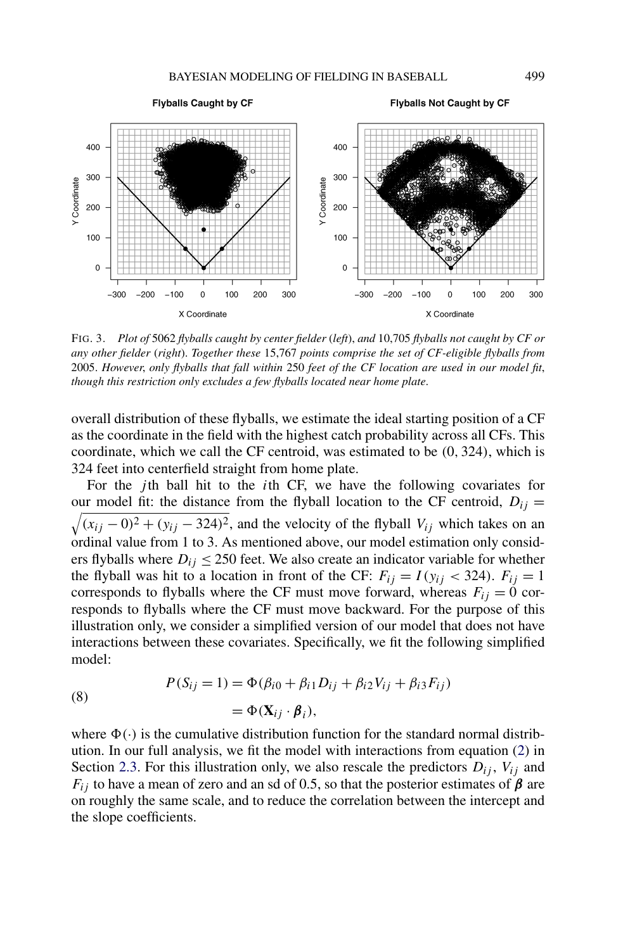<span id="page-8-0"></span>

FIG. 3. *Plot of* 5062 *flyballs caught by center fielder* (*left*), *and* 10,705 *flyballs not caught by CF or any other fielder* (*right*). *Together these* 15,767 *points comprise the set of CF-eligible flyballs from* 2005. *However*, *only flyballs that fall within* 250 *feet of the CF location are used in our model fit*, *though this restriction only excludes a few flyballs located near home plate*.

overall distribution of these flyballs, we estimate the ideal starting position of a CF as the coordinate in the field with the highest catch probability across all CFs. This coordinate, which we call the CF centroid, was estimated to be *(*0*,* 324*)*, which is 324 feet into centerfield straight from home plate.

For the *j* th ball hit to the *i*th CF, we have the following covariates for our model fit: the distance from the flyball location to the CF centroid,  $D_{ij} =$  $\sqrt{(x_{ij}-0)^2 + (y_{ij}-324)^2}$ , and the velocity of the flyball *V<sub>ij</sub>* which takes on an ordinal value from 1 to 3. As mentioned above, our model estimation only considers flyballs where  $D_{ij} \leq 250$  feet. We also create an indicator variable for whether the flyball was hit to a location in front of the CF:  $F_{ij} = I(y_{ij} < 324)$ .  $F_{ij} = 1$ corresponds to flyballs where the CF must move forward, whereas  $F_{ij} = 0$  corresponds to flyballs where the CF must move backward. For the purpose of this illustration only, we consider a simplified version of our model that does not have interactions between these covariates. Specifically, we fit the following simplified model:

(8)  

$$
P(S_{ij} = 1) = \Phi(\beta_{i0} + \beta_{i1}D_{ij} + \beta_{i2}V_{ij} + \beta_{i3}F_{ij})
$$

$$
= \Phi(\mathbf{X}_{ij} \cdot \boldsymbol{\beta}_i),
$$

where  $\Phi(\cdot)$  is the cumulative distribution function for the standard normal distribution. In our full analysis, we fit the model with interactions from equation [\(2\)](#page-5-0) in Section [2.3.](#page-4-0) For this illustration only, we also rescale the predictors  $D_{ij}$ ,  $V_{ij}$  and *F<sub>ij</sub>* to have a mean of zero and an sd of 0.5, so that the posterior estimates of  $\beta$  are on roughly the same scale, and to reduce the correlation between the intercept and the slope coefficients.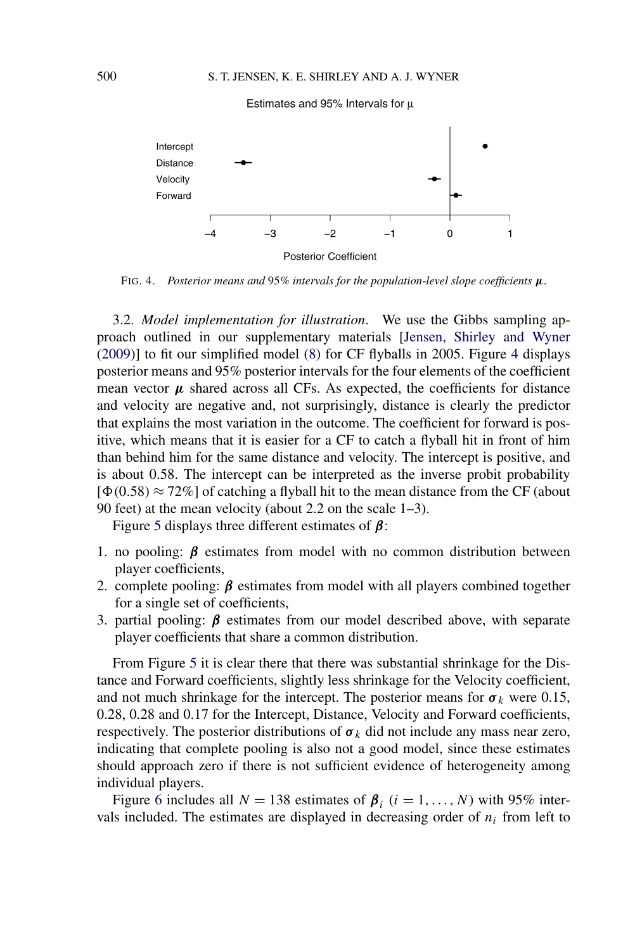Estimates and 95% Intervals for  $\mu$ 

<span id="page-9-0"></span>

FIG. 4. *Posterior means and* 95*% intervals for the population-level slope coefficients μ*.

3.2. *Model implementation for illustration*. We use the Gibbs sampling approach outlined in our supplementary materials [\[Jensen, Shirley and Wyner](#page-29-0) [\(2009\)](#page-29-0)] to fit our simplified model [\(8\)](#page-8-0) for CF flyballs in 2005. Figure 4 displays posterior means and 95% posterior intervals for the four elements of the coefficient mean vector  $\mu$  shared across all CFs. As expected, the coefficients for distance and velocity are negative and, not surprisingly, distance is clearly the predictor that explains the most variation in the outcome. The coefficient for forward is positive, which means that it is easier for a CF to catch a flyball hit in front of him than behind him for the same distance and velocity. The intercept is positive, and is about 0.58. The intercept can be interpreted as the inverse probit probability  $[\Phi(0.58) \approx 72\%]$  of catching a flyball hit to the mean distance from the CF (about 90 feet) at the mean velocity (about 2.2 on the scale 1–3).

Figure [5](#page-10-0) displays three different estimates of *β*:

- 1. no pooling: *β* estimates from model with no common distribution between player coefficients,
- 2. complete pooling:  $\beta$  estimates from model with all players combined together for a single set of coefficients,
- 3. partial pooling: *β* estimates from our model described above, with separate player coefficients that share a common distribution.

From Figure [5](#page-10-0) it is clear there that there was substantial shrinkage for the Distance and Forward coefficients, slightly less shrinkage for the Velocity coefficient, and not much shrinkage for the intercept. The posterior means for  $\sigma_k$  were 0.15, 0.28, 0.28 and 0.17 for the Intercept, Distance, Velocity and Forward coefficients, respectively. The posterior distributions of  $\sigma_k$  did not include any mass near zero, indicating that complete pooling is also not a good model, since these estimates should approach zero if there is not sufficient evidence of heterogeneity among individual players.

Figure [6](#page-11-0) includes all  $N = 138$  estimates of  $\beta_i$  ( $i = 1, ..., N$ ) with 95% intervals included. The estimates are displayed in decreasing order of  $n_i$  from left to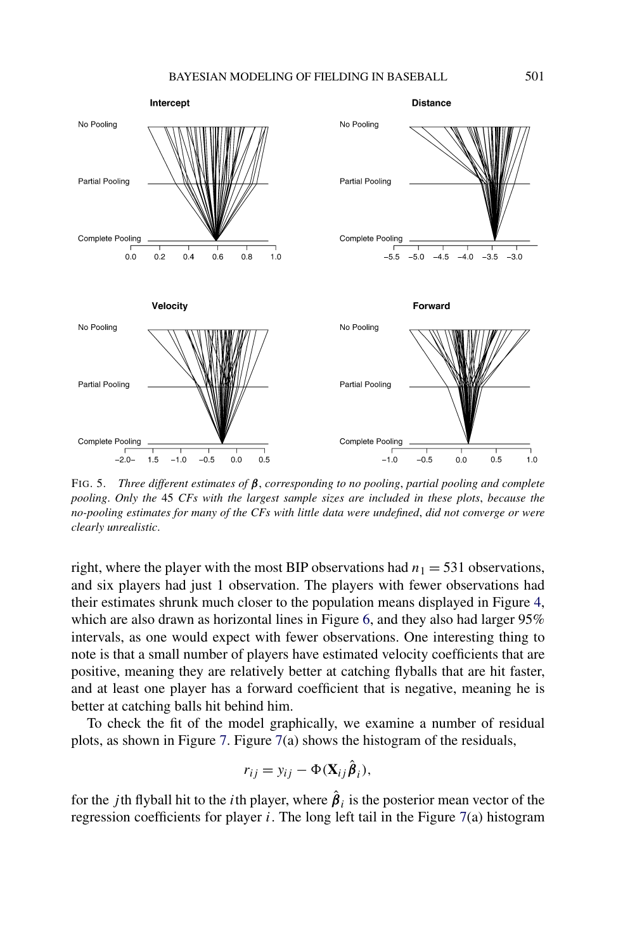<span id="page-10-0"></span>

FIG. 5. *Three different estimates of β*, *corresponding to no pooling*, *partial pooling and complete pooling*. *Only the* 45 *CFs with the largest sample sizes are included in these plots*, *because the no-pooling estimates for many of the CFs with little data were undefined*, *did not converge or were clearly unrealistic*.

right, where the player with the most BIP observations had  $n_1 = 531$  observations, and six players had just 1 observation. The players with fewer observations had their estimates shrunk much closer to the population means displayed in Figure [4,](#page-9-0) which are also drawn as horizontal lines in Figure [6,](#page-11-0) and they also had larger 95% intervals, as one would expect with fewer observations. One interesting thing to note is that a small number of players have estimated velocity coefficients that are positive, meaning they are relatively better at catching flyballs that are hit faster, and at least one player has a forward coefficient that is negative, meaning he is better at catching balls hit behind him.

To check the fit of the model graphically, we examine a number of residual plots, as shown in Figure [7.](#page-12-0) Figure [7\(](#page-12-0)a) shows the histogram of the residuals,

$$
r_{ij} = y_{ij} - \Phi(\mathbf{X}_{ij}\hat{\boldsymbol{\beta}}_i),
$$

for the *j*th flyball hit to the *i*th player, where  $\hat{\beta}_i$  is the posterior mean vector of the regression coefficients for player *i*. The long left tail in the Figure [7\(](#page-12-0)a) histogram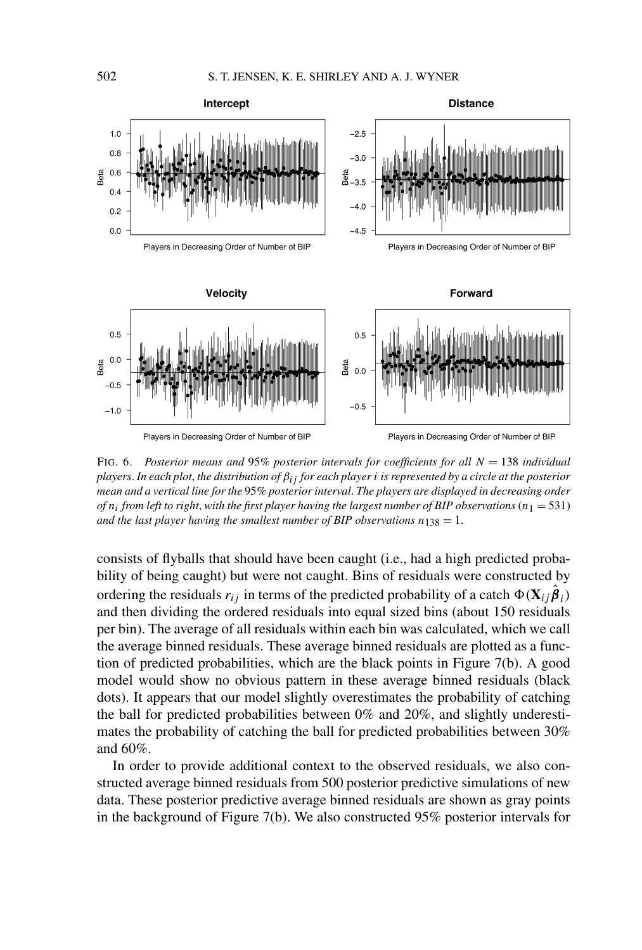<span id="page-11-0"></span>



Players in Decreasing Order of Number of BIP

Players in Decreasing Order of Number of BIP



FIG. 6. *Posterior means and* 95*% posterior intervals for coefficients for all N* = 138 *individual players*. *In each plot*, *the distribution of βij for each player i is represented by a circle at the posterior mean and a vertical line for the* 95*% posterior interval*. *The players are displayed in decreasing order of*  $n_i$  *from left to right, with the first player having the largest number of BIP observations* ( $n_1 = 531$ ) *and the last player having the smallest number of BIP observations*  $n_{138} = 1$ .

consists of flyballs that should have been caught (i.e., had a high predicted probability of being caught) but were not caught. Bins of residuals were constructed by ordering the residuals  $r_{ij}$  in terms of the predicted probability of a catch  $\Phi(\mathbf{X}_{ij}\hat{\boldsymbol{\beta}}_i)$ and then dividing the ordered residuals into equal sized bins (about 150 residuals per bin). The average of all residuals within each bin was calculated, which we call the average binned residuals. These average binned residuals are plotted as a function of predicted probabilities, which are the black points in Figure [7\(](#page-12-0)b). A good model would show no obvious pattern in these average binned residuals (black dots). It appears that our model slightly overestimates the probability of catching the ball for predicted probabilities between 0% and 20%, and slightly underestimates the probability of catching the ball for predicted probabilities between 30% and 60%.

In order to provide additional context to the observed residuals, we also constructed average binned residuals from 500 posterior predictive simulations of new data. These posterior predictive average binned residuals are shown as gray points in the background of Figure [7\(](#page-12-0)b). We also constructed 95% posterior intervals for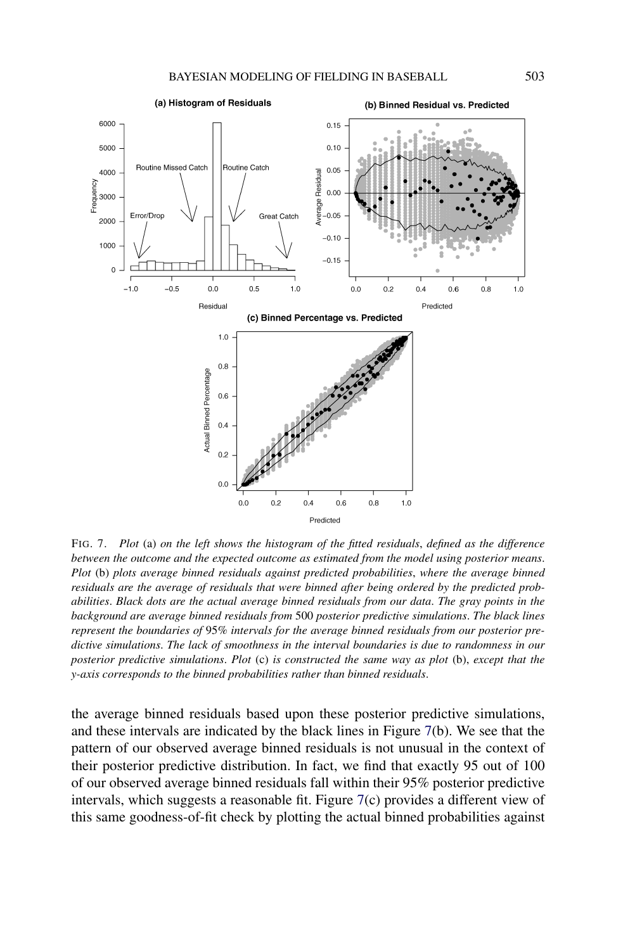<span id="page-12-0"></span>

FIG. 7. *Plot* (a) *on the left shows the histogram of the fitted residuals*, *defined as the difference between the outcome and the expected outcome as estimated from the model using posterior means*. *Plot* (b) *plots average binned residuals against predicted probabilities*, *where the average binned residuals are the average of residuals that were binned after being ordered by the predicted probabilities*. *Black dots are the actual average binned residuals from our data*. *The gray points in the background are average binned residuals from* 500 *posterior predictive simulations*. *The black lines represent the boundaries of* 95*% intervals for the average binned residuals from our posterior predictive simulations*. *The lack of smoothness in the interval boundaries is due to randomness in our posterior predictive simulations*. *Plot* (c) *is constructed the same way as plot* (b), *except that the y-axis corresponds to the binned probabilities rather than binned residuals*.

the average binned residuals based upon these posterior predictive simulations, and these intervals are indicated by the black lines in Figure 7(b). We see that the pattern of our observed average binned residuals is not unusual in the context of their posterior predictive distribution. In fact, we find that exactly 95 out of 100 of our observed average binned residuals fall within their 95% posterior predictive intervals, which suggests a reasonable fit. Figure 7(c) provides a different view of this same goodness-of-fit check by plotting the actual binned probabilities against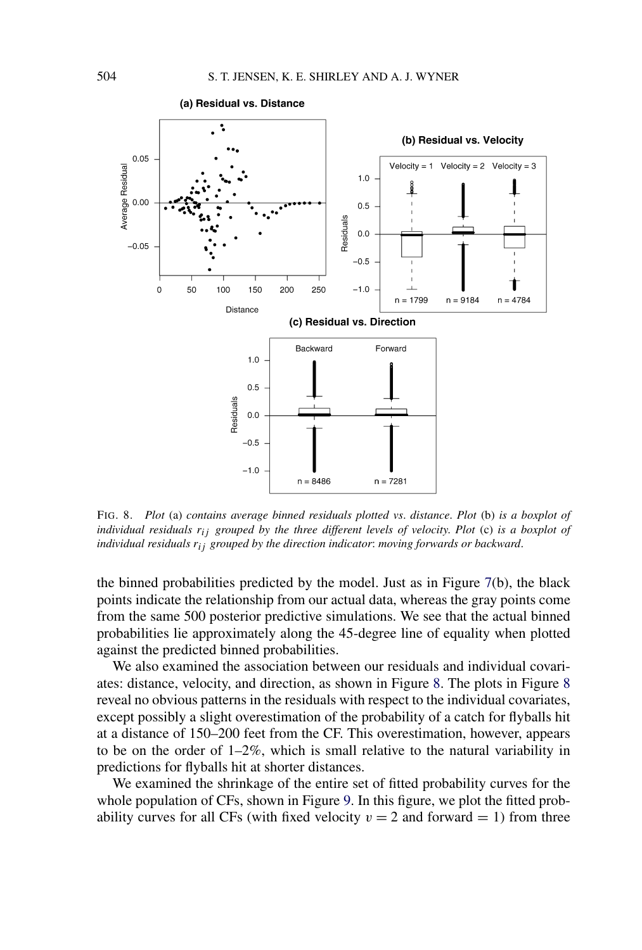

FIG. 8. *Plot* (a) *contains average binned residuals plotted vs*. *distance*. *Plot* (b) *is a boxplot of individual residuals rij grouped by the three different levels of velocity*. *Plot* (c) *is a boxplot of individual residuals rij grouped by the direction indicator*: *moving forwards or backward*.

the binned probabilities predicted by the model. Just as in Figure [7\(](#page-12-0)b), the black points indicate the relationship from our actual data, whereas the gray points come from the same 500 posterior predictive simulations. We see that the actual binned probabilities lie approximately along the 45-degree line of equality when plotted against the predicted binned probabilities.

We also examined the association between our residuals and individual covariates: distance, velocity, and direction, as shown in Figure 8. The plots in Figure 8 reveal no obvious patterns in the residuals with respect to the individual covariates, except possibly a slight overestimation of the probability of a catch for flyballs hit at a distance of 150–200 feet from the CF. This overestimation, however, appears to be on the order of 1–2%, which is small relative to the natural variability in predictions for flyballs hit at shorter distances.

We examined the shrinkage of the entire set of fitted probability curves for the whole population of CFs, shown in Figure [9.](#page-14-0) In this figure, we plot the fitted probability curves for all CFs (with fixed velocity  $v = 2$  and forward  $= 1$ ) from three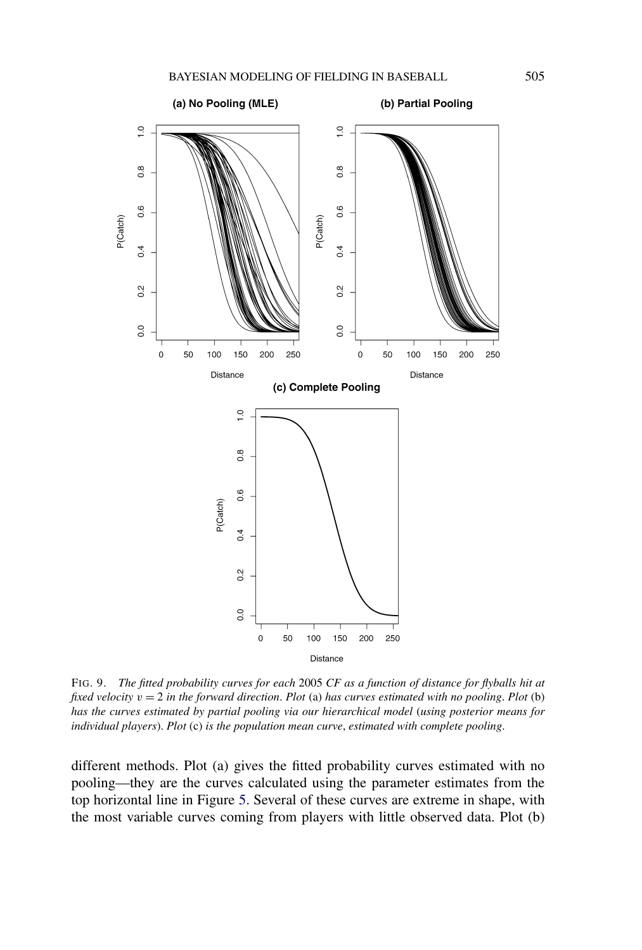<span id="page-14-0"></span>

FIG. 9. *The fitted probability curves for each* 2005 *CF as a function of distance for flyballs hit at fixed velocity v* = 2 *in the forward direction*. *Plot* (a) *has curves estimated with no pooling*. *Plot* (b) *has the curves estimated by partial pooling via our hierarchical model* (*using posterior means for individual players*). *Plot* (c) *is the population mean curve*, *estimated with complete pooling*.

different methods. Plot (a) gives the fitted probability curves estimated with no pooling—they are the curves calculated using the parameter estimates from the top horizontal line in Figure [5.](#page-10-0) Several of these curves are extreme in shape, with the most variable curves coming from players with little observed data. Plot (b)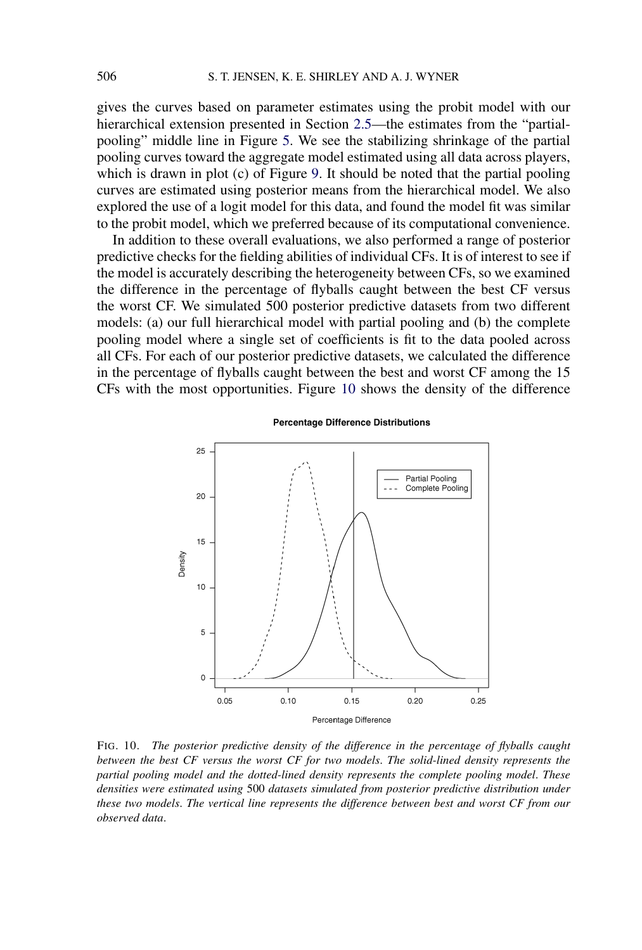gives the curves based on parameter estimates using the probit model with our hierarchical extension presented in Section [2.5—](#page-6-0)the estimates from the "partialpooling" middle line in Figure [5.](#page-10-0) We see the stabilizing shrinkage of the partial pooling curves toward the aggregate model estimated using all data across players, which is drawn in plot (c) of Figure [9.](#page-14-0) It should be noted that the partial pooling curves are estimated using posterior means from the hierarchical model. We also explored the use of a logit model for this data, and found the model fit was similar to the probit model, which we preferred because of its computational convenience.

In addition to these overall evaluations, we also performed a range of posterior predictive checks for the fielding abilities of individual CFs. It is of interest to see if the model is accurately describing the heterogeneity between CFs, so we examined the difference in the percentage of flyballs caught between the best CF versus the worst CF. We simulated 500 posterior predictive datasets from two different models: (a) our full hierarchical model with partial pooling and (b) the complete pooling model where a single set of coefficients is fit to the data pooled across all CFs. For each of our posterior predictive datasets, we calculated the difference in the percentage of flyballs caught between the best and worst CF among the 15 CFs with the most opportunities. Figure 10 shows the density of the difference



FIG. 10. *The posterior predictive density of the difference in the percentage of flyballs caught between the best CF versus the worst CF for two models*. *The solid-lined density represents the partial pooling model and the dotted-lined density represents the complete pooling model*. *These densities were estimated using* 500 *datasets simulated from posterior predictive distribution under these two models*. *The vertical line represents the difference between best and worst CF from our observed data*.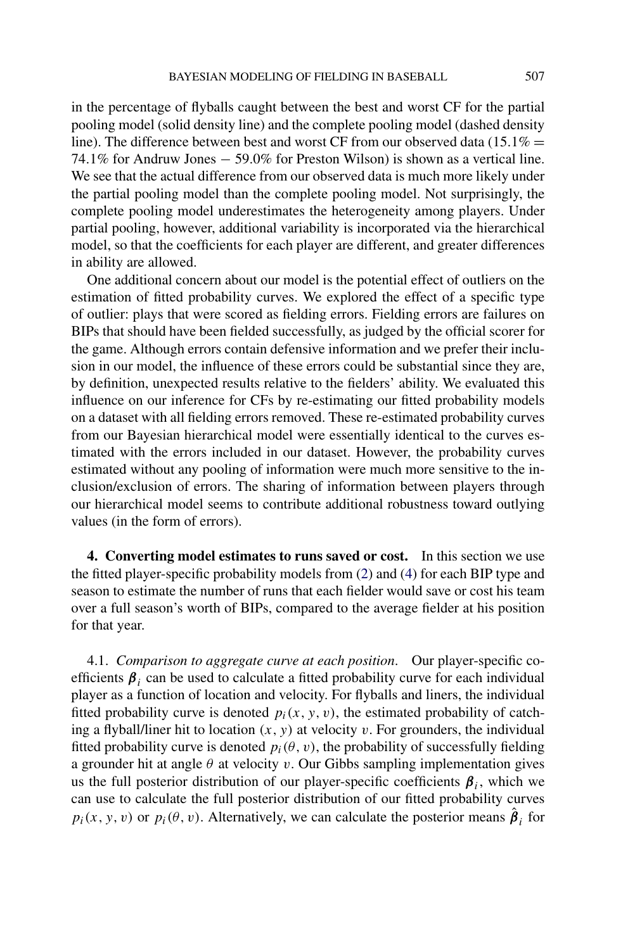<span id="page-16-0"></span>in the percentage of flyballs caught between the best and worst CF for the partial pooling model (solid density line) and the complete pooling model (dashed density line). The difference between best and worst CF from our observed data (15*.*1% = 74*.*1% for Andruw Jones − 59.0% for Preston Wilson) is shown as a vertical line. We see that the actual difference from our observed data is much more likely under the partial pooling model than the complete pooling model. Not surprisingly, the complete pooling model underestimates the heterogeneity among players. Under partial pooling, however, additional variability is incorporated via the hierarchical model, so that the coefficients for each player are different, and greater differences in ability are allowed.

One additional concern about our model is the potential effect of outliers on the estimation of fitted probability curves. We explored the effect of a specific type of outlier: plays that were scored as fielding errors. Fielding errors are failures on BIPs that should have been fielded successfully, as judged by the official scorer for the game. Although errors contain defensive information and we prefer their inclusion in our model, the influence of these errors could be substantial since they are, by definition, unexpected results relative to the fielders' ability. We evaluated this influence on our inference for CFs by re-estimating our fitted probability models on a dataset with all fielding errors removed. These re-estimated probability curves from our Bayesian hierarchical model were essentially identical to the curves estimated with the errors included in our dataset. However, the probability curves estimated without any pooling of information were much more sensitive to the inclusion/exclusion of errors. The sharing of information between players through our hierarchical model seems to contribute additional robustness toward outlying values (in the form of errors).

**4. Converting model estimates to runs saved or cost.** In this section we use the fitted player-specific probability models from [\(2\)](#page-5-0) and [\(4\)](#page-5-0) for each BIP type and season to estimate the number of runs that each fielder would save or cost his team over a full season's worth of BIPs, compared to the average fielder at his position for that year.

4.1. *Comparison to aggregate curve at each position*. Our player-specific coefficients  $\beta$ <sub>*i*</sub> can be used to calculate a fitted probability curve for each individual player as a function of location and velocity. For flyballs and liners, the individual fitted probability curve is denoted  $p_i(x, y, v)$ , the estimated probability of catching a flyball/liner hit to location  $(x, y)$  at velocity  $v$ . For grounders, the individual fitted probability curve is denoted  $p_i(\theta, v)$ , the probability of successfully fielding a grounder hit at angle *θ* at velocity *v*. Our Gibbs sampling implementation gives us the full posterior distribution of our player-specific coefficients  $\beta_i$ , which we can use to calculate the full posterior distribution of our fitted probability curves  $p_i(x, y, v)$  or  $p_i(\theta, v)$ . Alternatively, we can calculate the posterior means  $\hat{\boldsymbol{\beta}}_i$  for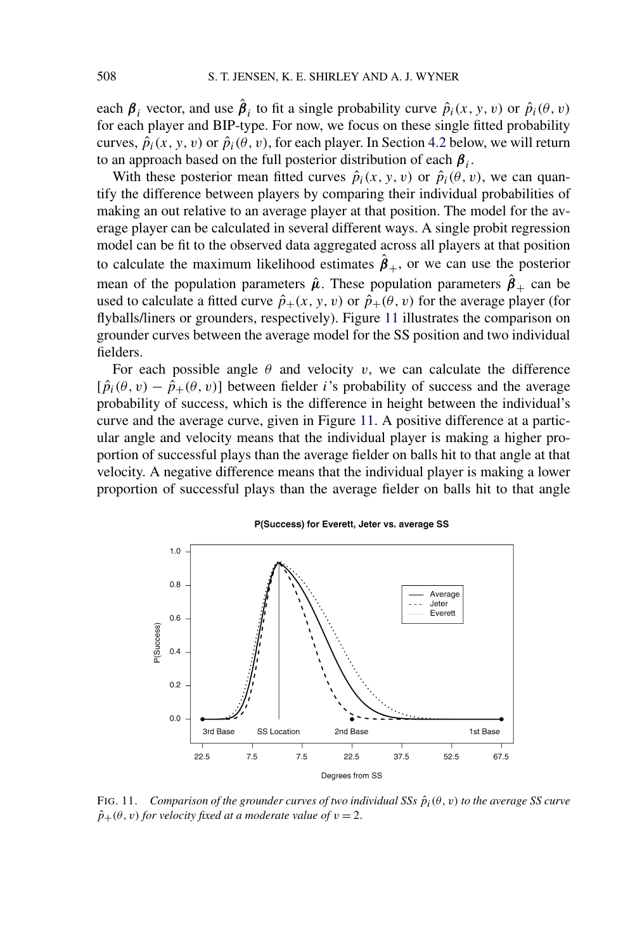<span id="page-17-0"></span>each  $\beta$ *i* vector, and use  $\hat{\beta}$ *i* to fit a single probability curve  $\hat{p}_i(x, y, v)$  or  $\hat{p}_i(\theta, v)$ for each player and BIP-type. For now, we focus on these single fitted probability curves,  $\hat{p}_i(x, y, v)$  or  $\hat{p}_i(\theta, v)$ , for each player. In Section [4.2](#page-18-0) below, we will return to an approach based on the full posterior distribution of each *βi*.

With these posterior mean fitted curves  $\hat{p}_i(x, y, v)$  or  $\hat{p}_i(\theta, v)$ , we can quantify the difference between players by comparing their individual probabilities of making an out relative to an average player at that position. The model for the average player can be calculated in several different ways. A single probit regression model can be fit to the observed data aggregated across all players at that position to calculate the maximum likelihood estimates  $\hat{\beta}_+$ , or we can use the posterior mean of the population parameters  $\hat{\mu}$ . These population parameters  $\hat{\beta}_+$  can be used to calculate a fitted curve  $\hat{p}_{+}(x, y, v)$  or  $\hat{p}_{+}(\theta, v)$  for the average player (for flyballs/liners or grounders, respectively). Figure 11 illustrates the comparison on grounder curves between the average model for the SS position and two individual fielders.

For each possible angle  $\theta$  and velocity  $v$ , we can calculate the difference  $[\hat{p}_i(\theta, v) - \hat{p}_+(\theta, v)]$  between fielder *i*'s probability of success and the average probability of success, which is the difference in height between the individual's curve and the average curve, given in Figure 11. A positive difference at a particular angle and velocity means that the individual player is making a higher proportion of successful plays than the average fielder on balls hit to that angle at that velocity. A negative difference means that the individual player is making a lower proportion of successful plays than the average fielder on balls hit to that angle

#### P(Success) for Everett, Jeter vs. average SS



FIG. 11. *Comparison of the grounder curves of two individual SSs*  $\hat{p}_i(\theta, v)$  *to the average SS curve*  $\hat{p}_{+}(\theta, v)$  *for velocity fixed at a moderate value of*  $v = 2$ .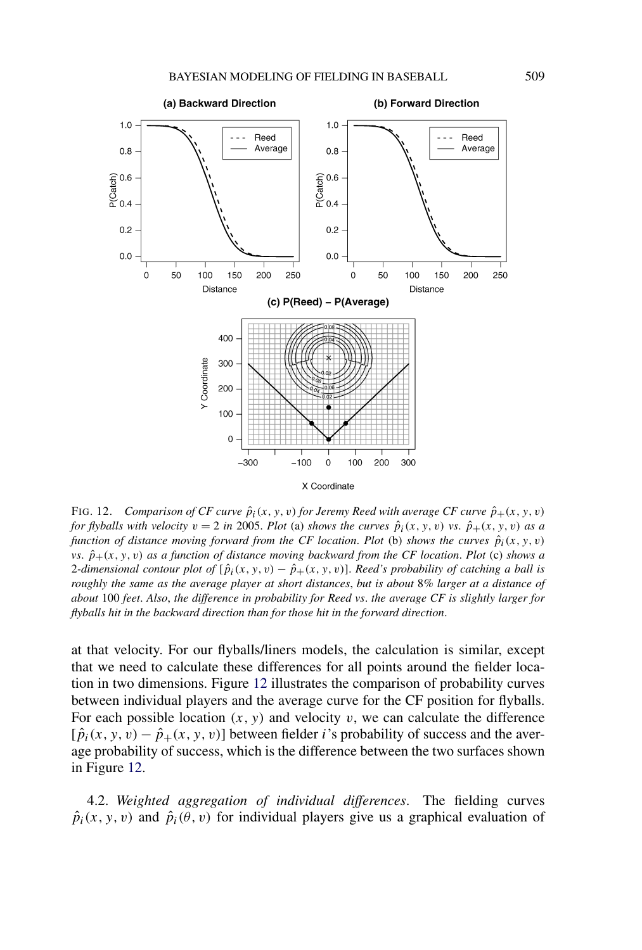<span id="page-18-0"></span>

FIG. 12. *Comparison of CF curve*  $\hat{p}_i(x, y, v)$  *for Jeremy Reed with average CF curve*  $\hat{p}_+(x, y, v)$ *for flyballs with velocity*  $v = 2$  *in* 2005. *Plot* (a) *shows the curves*  $\hat{p}_i(x, y, v)$  *vs.*  $\hat{p}_+(x, y, v)$  *as a function of distance moving forward from the CF location. Plot (b) shows the curves*  $\hat{p}_i(x, y, v)$ *vs.*  $\hat{p}_{+}(x, y, v)$  *as a function of distance moving backward from the CF location. Plot* (c) *shows a* 2-dimensional contour plot of  $[\hat{p}_i(x, y, v) - \hat{p}_+(x, y, v)]$ . Reed's probability of catching a ball is *roughly the same as the average player at short distances*, *but is about* 8*% larger at a distance of about* 100 *feet*. *Also*, *the difference in probability for Reed vs*. *the average CF is slightly larger for flyballs hit in the backward direction than for those hit in the forward direction*.

at that velocity. For our flyballs/liners models, the calculation is similar, except that we need to calculate these differences for all points around the fielder location in two dimensions. Figure 12 illustrates the comparison of probability curves between individual players and the average curve for the CF position for flyballs. For each possible location  $(x, y)$  and velocity  $v$ , we can calculate the difference  $[\hat{p}_i(x, y, v) - \hat{p}_+(x, y, v)]$  between fielder *i*'s probability of success and the average probability of success, which is the difference between the two surfaces shown in Figure 12.

4.2. *Weighted aggregation of individual differences*. The fielding curves  $\hat{p}_i(x, y, v)$  and  $\hat{p}_i(\theta, v)$  for individual players give us a graphical evaluation of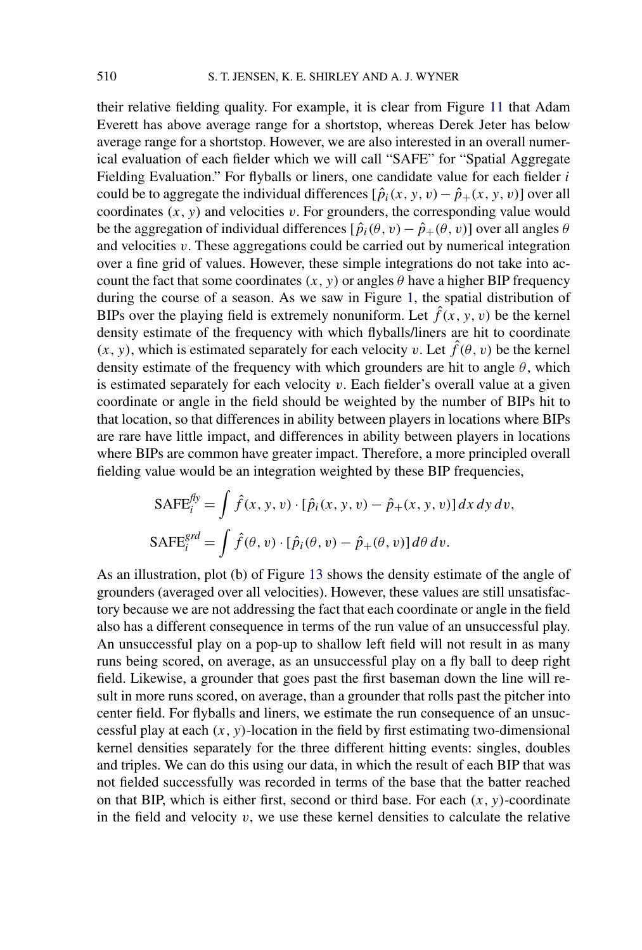their relative fielding quality. For example, it is clear from Figure [11](#page-17-0) that Adam Everett has above average range for a shortstop, whereas Derek Jeter has below average range for a shortstop. However, we are also interested in an overall numerical evaluation of each fielder which we will call "SAFE" for "Spatial Aggregate Fielding Evaluation." For flyballs or liners, one candidate value for each fielder *i* could be to aggregate the individual differences  $[\hat{p}_i(x, y, v) - \hat{p}_+(x, y, v)]$  over all coordinates  $(x, y)$  and velocities  $v$ . For grounders, the corresponding value would be the aggregation of individual differences  $[\hat{p}_i(\theta, v) - \hat{p}_+(\theta, v)]$  over all angles  $\theta$ and velocities *v*. These aggregations could be carried out by numerical integration over a fine grid of values. However, these simple integrations do not take into account the fact that some coordinates  $(x, y)$  or angles  $\theta$  have a higher BIP frequency during the course of a season. As we saw in Figure [1,](#page-2-0) the spatial distribution of BIPs over the playing field is extremely nonuniform. Let  $\hat{f}(x, y, v)$  be the kernel density estimate of the frequency with which flyballs/liners are hit to coordinate  $(x, y)$ , which is estimated separately for each velocity *v*. Let  $\hat{f}(\theta, v)$  be the kernel density estimate of the frequency with which grounders are hit to angle *θ*, which is estimated separately for each velocity *v*. Each fielder's overall value at a given coordinate or angle in the field should be weighted by the number of BIPs hit to that location, so that differences in ability between players in locations where BIPs are rare have little impact, and differences in ability between players in locations where BIPs are common have greater impact. Therefore, a more principled overall fielding value would be an integration weighted by these BIP frequencies,

$$
SAFE_i^{fly} = \int \hat{f}(x, y, v) \cdot [\hat{p}_i(x, y, v) - \hat{p}_+(x, y, v)] dx dy dv,
$$
  

$$
SAFE_i^{grd} = \int \hat{f}(\theta, v) \cdot [\hat{p}_i(\theta, v) - \hat{p}_+(\theta, v)] d\theta dv.
$$

As an illustration, plot (b) of Figure [13](#page-20-0) shows the density estimate of the angle of grounders (averaged over all velocities). However, these values are still unsatisfactory because we are not addressing the fact that each coordinate or angle in the field also has a different consequence in terms of the run value of an unsuccessful play. An unsuccessful play on a pop-up to shallow left field will not result in as many runs being scored, on average, as an unsuccessful play on a fly ball to deep right field. Likewise, a grounder that goes past the first baseman down the line will result in more runs scored, on average, than a grounder that rolls past the pitcher into center field. For flyballs and liners, we estimate the run consequence of an unsuccessful play at each  $(x, y)$ -location in the field by first estimating two-dimensional kernel densities separately for the three different hitting events: singles, doubles and triples. We can do this using our data, in which the result of each BIP that was not fielded successfully was recorded in terms of the base that the batter reached on that BIP, which is either first, second or third base. For each  $(x, y)$ -coordinate in the field and velocity  $v$ , we use these kernel densities to calculate the relative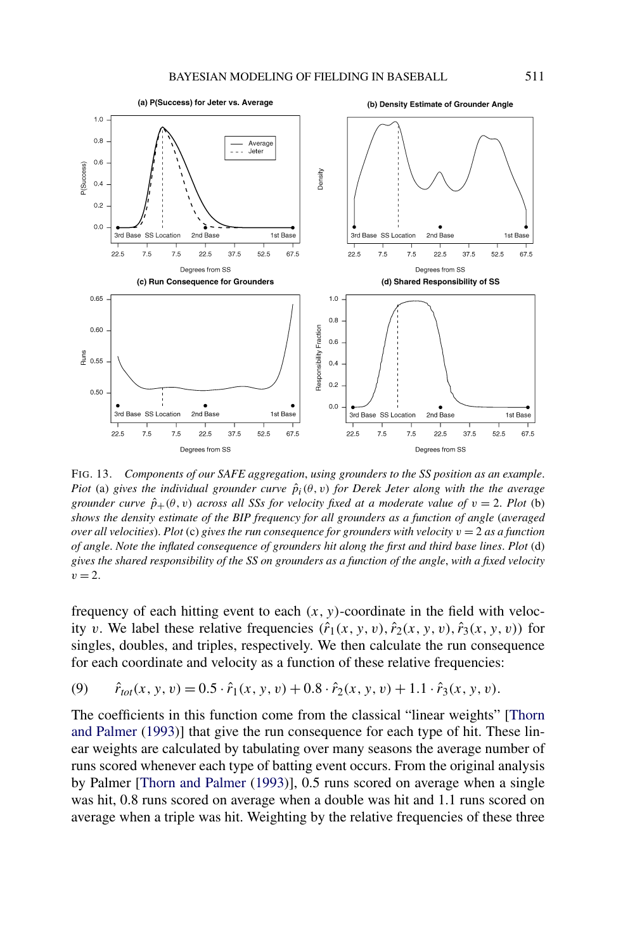<span id="page-20-0"></span>

FIG. 13. *Components of our SAFE aggregation*, *using grounders to the SS position as an example*. *Piot* (a) gives the individual grounder curve  $\hat{p}_i(\theta, v)$  for Derek Jeter along with the the average *grounder curve*  $\hat{p}_{+}(\theta, v)$  *across all SSs for velocity fixed at a moderate value of*  $v = 2$ . *Plot* (b) *shows the density estimate of the BIP frequency for all grounders as a function of angle* (*averaged over all velocities*). *Plot* (c) *gives the run consequence for grounders with velocity*  $v = 2$  *as a function of angle*. *Note the inflated consequence of grounders hit along the first and third base lines*. *Plot* (d) *gives the shared responsibility of the SS on grounders as a function of the angle*, *with a fixed velocity*  $v = 2$ .

frequency of each hitting event to each  $(x, y)$ -coordinate in the field with velocity *v*. We label these relative frequencies  $(\hat{r}_1(x, y, v), \hat{r}_2(x, y, v), \hat{r}_3(x, y, v))$  for singles, doubles, and triples, respectively. We then calculate the run consequence for each coordinate and velocity as a function of these relative frequencies:

(9) 
$$
\hat{r}_{tot}(x, y, v) = 0.5 \cdot \hat{r}_1(x, y, v) + 0.8 \cdot \hat{r}_2(x, y, v) + 1.1 \cdot \hat{r}_3(x, y, v).
$$

The coefficients in this function come from the classical "linear weights" [\[Thorn](#page-29-0) [and Palmer](#page-29-0) [\(1993\)](#page-29-0)] that give the run consequence for each type of hit. These linear weights are calculated by tabulating over many seasons the average number of runs scored whenever each type of batting event occurs. From the original analysis by Palmer [\[Thorn and Palmer](#page-29-0) [\(1993\)](#page-29-0)], 0.5 runs scored on average when a single was hit, 0.8 runs scored on average when a double was hit and 1.1 runs scored on average when a triple was hit. Weighting by the relative frequencies of these three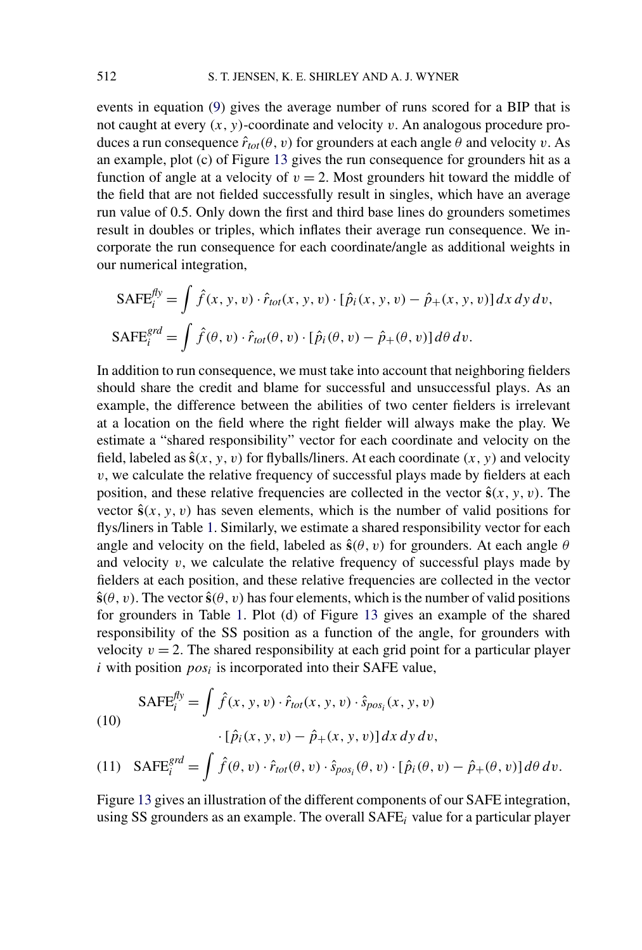<span id="page-21-0"></span>events in equation [\(9\)](#page-20-0) gives the average number of runs scored for a BIP that is not caught at every *(x,y)*-coordinate and velocity *v*. An analogous procedure produces a run consequence  $\hat{r}_{tot}(\theta, v)$  for grounders at each angle  $\theta$  and velocity *v*. As an example, plot (c) of Figure [13](#page-20-0) gives the run consequence for grounders hit as a function of angle at a velocity of  $v = 2$ . Most grounders hit toward the middle of the field that are not fielded successfully result in singles, which have an average run value of 0.5. Only down the first and third base lines do grounders sometimes result in doubles or triples, which inflates their average run consequence. We incorporate the run consequence for each coordinate/angle as additional weights in our numerical integration,

$$
SAFEifly = \int \hat{f}(x, y, v) \cdot \hat{r}_{tot}(x, y, v) \cdot [\hat{p}_i(x, y, v) - \hat{p}_+(x, y, v)] dx dy dv,
$$
  
\n
$$
SAFEigrd = \int \hat{f}(\theta, v) \cdot \hat{r}_{tot}(\theta, v) \cdot [\hat{p}_i(\theta, v) - \hat{p}_+(\theta, v)] d\theta dv.
$$

In addition to run consequence, we must take into account that neighboring fielders should share the credit and blame for successful and unsuccessful plays. As an example, the difference between the abilities of two center fielders is irrelevant at a location on the field where the right fielder will always make the play. We estimate a "shared responsibility" vector for each coordinate and velocity on the field, labeled as  $\hat{\mathbf{s}}(x, y, v)$  for flyballs/liners. At each coordinate  $(x, y)$  and velocity *v*, we calculate the relative frequency of successful plays made by fielders at each position, and these relative frequencies are collected in the vector  $\hat{\mathbf{s}}(x, y, v)$ . The vector  $\hat{\mathbf{s}}(x, y, v)$  has seven elements, which is the number of valid positions for flys/liners in Table [1.](#page-3-0) Similarly, we estimate a shared responsibility vector for each angle and velocity on the field, labeled as  $\hat{\mathbf{s}}(\theta, v)$  for grounders. At each angle  $\theta$ and velocity  $v$ , we calculate the relative frequency of successful plays made by fielders at each position, and these relative frequencies are collected in the vector  $\hat{\mathbf{s}}(\theta, v)$ . The vector  $\hat{\mathbf{s}}(\theta, v)$  has four elements, which is the number of valid positions for grounders in Table [1.](#page-3-0) Plot (d) of Figure [13](#page-20-0) gives an example of the shared responsibility of the SS position as a function of the angle, for grounders with velocity  $v = 2$ . The shared responsibility at each grid point for a particular player  $i$  with position  $pos_i$  is incorporated into their SAFE value,

$$
\text{SAFE}_{i}^{\text{fly}} = \int \hat{f}(x, y, v) \cdot \hat{r}_{\text{tot}}(x, y, v) \cdot \hat{s}_{\text{pos}_i}(x, y, v)
$$

$$
\cdot [\hat{p}_i(x, y, v) - \hat{p}_+(x, y, v)] dx dy dv,
$$

(11) 
$$
\text{SAFE}_{i}^{grd} = \int \hat{f}(\theta, v) \cdot \hat{r}_{tot}(\theta, v) \cdot \hat{s}_{pos_i}(\theta, v) \cdot [\hat{p}_i(\theta, v) - \hat{p}_+(\theta, v)] d\theta dv.
$$

Figure [13](#page-20-0) gives an illustration of the different components of our SAFE integration, using SS grounders as an example. The overall SAFE*<sup>i</sup>* value for a particular player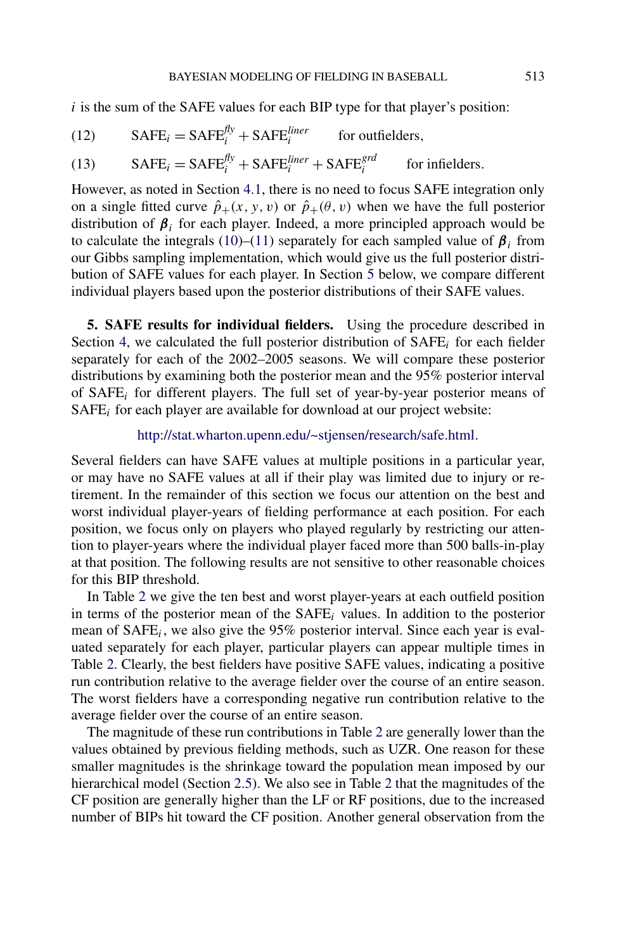<span id="page-22-0"></span>*i* is the sum of the SAFE values for each BIP type for that player's position:

(12) 
$$
SAFE_i = SAFE_i^{fly} + SAFE_i^{linear} \qquad \text{for outfields,}
$$

(13) 
$$
SAFE_i = SAFE_i^{fly} + SAFE_i^{linear} + SAFE_i^{grd} \qquad \text{for infields.}
$$

However, as noted in Section [4.1,](#page-16-0) there is no need to focus SAFE integration only on a single fitted curve  $\hat{p}_{+}(x, y, v)$  or  $\hat{p}_{+}(\theta, v)$  when we have the full posterior distribution of  $\beta$ <sup>*i*</sup> for each player. Indeed, a more principled approach would be to calculate the integrals [\(10\)](#page-21-0)–[\(11\)](#page-21-0) separately for each sampled value of  $\beta$ <sup>*i*</sup> from our Gibbs sampling implementation, which would give us the full posterior distribution of SAFE values for each player. In Section 5 below, we compare different individual players based upon the posterior distributions of their SAFE values.

**5. SAFE results for individual fielders.** Using the procedure described in Section [4,](#page-16-0) we calculated the full posterior distribution of SAFE*<sup>i</sup>* for each fielder separately for each of the 2002–2005 seasons. We will compare these posterior distributions by examining both the posterior mean and the 95% posterior interval of SAFE*<sup>i</sup>* for different players. The full set of year-by-year posterior means of SAFE*<sup>i</sup>* for each player are available for download at our project website:

## <http://stat.wharton.upenn.edu/~stjensen/research/safe.html>*.*

Several fielders can have SAFE values at multiple positions in a particular year, or may have no SAFE values at all if their play was limited due to injury or retirement. In the remainder of this section we focus our attention on the best and worst individual player-years of fielding performance at each position. For each position, we focus only on players who played regularly by restricting our attention to player-years where the individual player faced more than 500 balls-in-play at that position. The following results are not sensitive to other reasonable choices for this BIP threshold.

In Table [2](#page-23-0) we give the ten best and worst player-years at each outfield position in terms of the posterior mean of the SAFE*<sup>i</sup>* values. In addition to the posterior mean of SAFE*i*, we also give the 95% posterior interval. Since each year is evaluated separately for each player, particular players can appear multiple times in Table [2.](#page-23-0) Clearly, the best fielders have positive SAFE values, indicating a positive run contribution relative to the average fielder over the course of an entire season. The worst fielders have a corresponding negative run contribution relative to the average fielder over the course of an entire season.

The magnitude of these run contributions in Table [2](#page-23-0) are generally lower than the values obtained by previous fielding methods, such as UZR. One reason for these smaller magnitudes is the shrinkage toward the population mean imposed by our hierarchical model (Section [2.5\)](#page-6-0). We also see in Table [2](#page-23-0) that the magnitudes of the CF position are generally higher than the LF or RF positions, due to the increased number of BIPs hit toward the CF position. Another general observation from the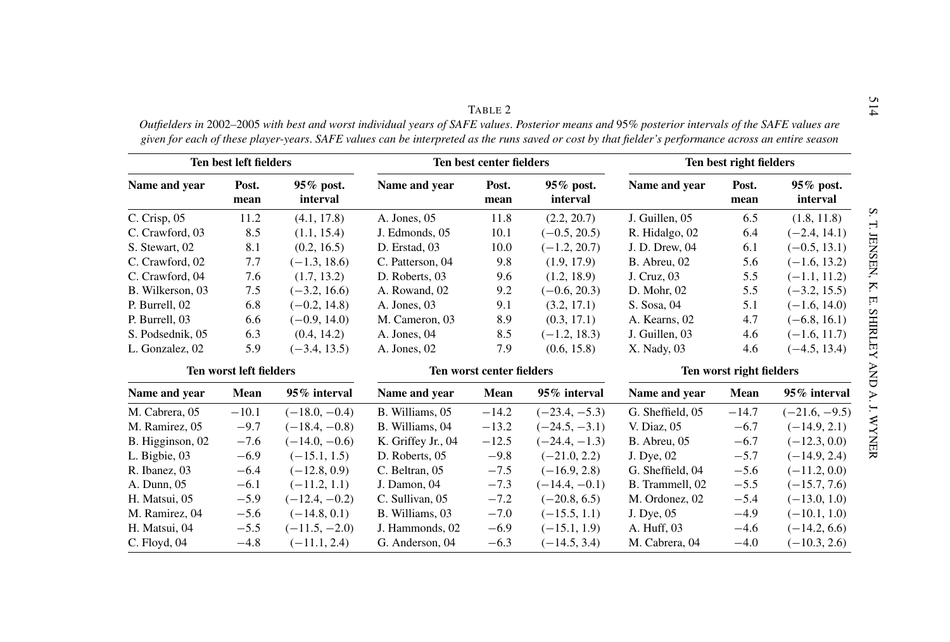<span id="page-23-0"></span>

|                         | Ten best left fielders |                           | Ten best center fielders |                          |                          | Ten best right fielders |               |                          |
|-------------------------|------------------------|---------------------------|--------------------------|--------------------------|--------------------------|-------------------------|---------------|--------------------------|
| Name and year           | Post.<br>mean          | $95\%$ post.<br>interval  | Name and year            | Post.<br>mean            | $95\%$ post.<br>interval | Name and year           | Post.<br>mean | $95\%$ post.<br>interval |
| C. Crisp, 05            | 11.2                   | (4.1, 17.8)               | A. Jones, 05             | 11.8                     | (2.2, 20.7)              | J. Guillen, 05          | 6.5           | (1.8, 11.8)              |
| C. Crawford, 03         | 8.5                    | (1.1, 15.4)               | J. Edmonds, 05           | 10.1                     | $(-0.5, 20.5)$           | R. Hidalgo, 02          | 6.4           | $(-2.4, 14.1)$           |
| S. Stewart, 02          | 8.1                    | (0.2, 16.5)               | D. Erstad, 03            | 10.0                     | $(-1.2, 20.7)$           | J. D. Drew, 04          | 6.1           | $(-0.5, 13.1)$           |
| C. Crawford, 02         | 7.7                    | $(-1.3, 18.6)$            | C. Patterson, 04         | 9.8                      | (1.9, 17.9)              | B. Abreu, 02            | 5.6           | $(-1.6, 13.2)$           |
| C. Crawford, 04         | 7.6                    | (1.7, 13.2)               | D. Roberts, 03           | 9.6                      | (1.2, 18.9)              | J. Cruz, 03             | 5.5           | $(-1.1, 11.2)$           |
| B. Wilkerson, 03        | 7.5                    | $(-3.2, 16.6)$            | A. Rowand, 02            | 9.2                      | $(-0.6, 20.3)$           | D. Mohr, 02             | 5.5           | $(-3.2, 15.5)$           |
| P. Burrell, 02          | 6.8                    | $(-0.2, 14.8)$            | A. Jones, 03             | 9.1                      | (3.2, 17.1)              | S. Sosa, 04             | 5.1           | $(-1.6, 14.0)$           |
| P. Burrell, 03          | 6.6                    | $(-0.9, 14.0)$            | M. Cameron, 03           | 8.9                      | (0.3, 17.1)              | A. Kearns, 02           | 4.7           | $(-6.8, 16.1)$           |
| S. Podsednik, 05        | 6.3                    | (0.4, 14.2)               | A. Jones, 04             | 8.5                      | $(-1.2, 18.3)$           | J. Guillen, 03          | 4.6           | $(-1.6, 11.7)$           |
| L. Gonzalez, 02         | 5.9                    | $(-3.4, 13.5)$            | A. Jones, 02             | 7.9                      | (0.6, 15.8)              | X. Nady, 03             | 4.6           | $(-4.5, 13.4)$           |
| Ten worst left fielders |                        | Ten worst center fielders |                          | Ten worst right fielders |                          |                         |               |                          |
| Name and year           | Mean                   | 95% interval              | Name and year            | Mean                     | 95% interval             | Name and year           | Mean          | 95% interval             |
| M. Cabrera, 05          | $-10.1$                | $(-18.0, -0.4)$           | B. Williams, 05          | $-14.2$                  | $(-23.4, -5.3)$          | G. Sheffield, 05        | $-14.7$       | $(-21.6, -9.5)$          |
| M. Ramirez, 05          | $-9.7$                 | $(-18.4, -0.8)$           | B. Williams, 04          | $-13.2$                  | $(-24.5, -3.1)$          | V. Diaz. 05             | $-6.7$        | $(-14.9, 2.1)$           |
| B. Higginson, 02        | $-7.6$                 | $(-14.0, -0.6)$           | K. Griffey Jr., 04       | $-12.5$                  | $(-24.4, -1.3)$          | B. Abreu, 05            | $-6.7$        | $(-12.3, 0.0)$           |
| L. Bigbie, 03           | $-6.9$                 | $(-15.1, 1.5)$            | D. Roberts, 05           | $-9.8$                   | $(-21.0, 2.2)$           | J. Dye, 02              | $-5.7$        | $(-14.9, 2.4)$           |
| R. Ibanez, 03           | $-6.4$                 | $(-12.8, 0.9)$            | C. Beltran, 05           | $-7.5$                   | $(-16.9, 2.8)$           | G. Sheffield, 04        | $-5.6$        | $(-11.2, 0.0)$           |
| A. Dunn, 05             | $-6.1$                 | $(-11.2, 1.1)$            | J. Damon, 04             | $-7.3$                   | $(-14.4, -0.1)$          | B. Trammell, 02         | $-5.5$        | $(-15.7, 7.6)$           |
| H. Matsui, 05           | $-5.9$                 | $(-12.4, -0.2)$           | C. Sullivan, 05          | $-7.2$                   | $(-20.8, 6.5)$           | M. Ordonez, 02          | $-5.4$        | $(-13.0, 1.0)$           |

M. Ramirez, 04 <sup>−</sup>5*.*6 (−14*.*8, 0.1) B. Williams, 03 <sup>−</sup>7*.*0 (−15*.*5, 1.1) J. Dye, 05 <sup>−</sup>4*.*9 (−10*.*1, 1.0) H. Matsui, 04 <sup>−</sup>5*.*5 (−11*.*5, <sup>−</sup>2*.*0) J. Hammonds, 02 <sup>−</sup>6*.*9 (−15*.*1, 1.9) A. Huff, 03 <sup>−</sup>4*.*6 (−14*.*2, 6.6) C. Floyd, 04 <sup>−</sup>4*.*8 (−11*.*1, 2.4) G. Anderson, 04 <sup>−</sup>6*.*3 (−14*.*5, 3.4) M. Cabrera, 04 <sup>−</sup>4*.*0 (−10*.*3, 2.6)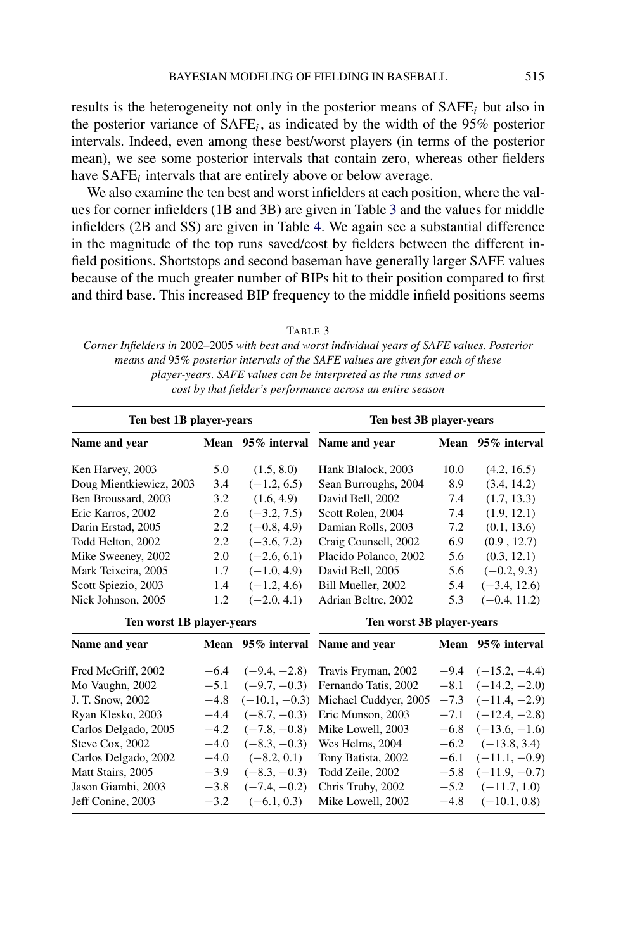results is the heterogeneity not only in the posterior means of SAFE*<sup>i</sup>* but also in the posterior variance of SAFE*i*, as indicated by the width of the 95% posterior intervals. Indeed, even among these best/worst players (in terms of the posterior mean), we see some posterior intervals that contain zero, whereas other fielders have SAFE*<sup>i</sup>* intervals that are entirely above or below average.

We also examine the ten best and worst infielders at each position, where the values for corner infielders (1B and 3B) are given in Table 3 and the values for middle infielders (2B and SS) are given in Table [4.](#page-25-0) We again see a substantial difference in the magnitude of the top runs saved/cost by fielders between the different infield positions. Shortstops and second baseman have generally larger SAFE values because of the much greater number of BIPs hit to their position compared to first and third base. This increased BIP frequency to the middle infield positions seems

| TABLE 3                                                                                       |
|-----------------------------------------------------------------------------------------------|
| Corner Infielders in 2002–2005 with best and worst individual years of SAFE values. Posterior |
| means and 95% posterior intervals of the SAFE values are given for each of these              |
| player-years. SAFE values can be interpreted as the runs saved or                             |
| cost by that fielder's performance across an entire season                                    |

| Ten best 1B player-years |      |               | Ten best 3B player-years   |      |                |
|--------------------------|------|---------------|----------------------------|------|----------------|
| Name and year            | Mean |               | 95% interval Name and year | Mean | 95% interval   |
| Ken Harvey, 2003         | 5.0  | (1.5, 8.0)    | Hank Blalock, 2003         | 10.0 | (4.2, 16.5)    |
| Doug Mientkiewicz, 2003  | 3.4  | $(-1.2, 6.5)$ | Sean Burroughs, 2004       | 8.9  | (3.4, 14.2)    |
| Ben Broussard, 2003      | 3.2  | (1.6, 4.9)    | David Bell, 2002           | 7.4  | (1.7, 13.3)    |
| Eric Karros, 2002        | 2.6  | $(-3.2, 7.5)$ | Scott Rolen, 2004          | 7.4  | (1.9, 12.1)    |
| Darin Erstad, 2005       | 2.2  | $(-0.8, 4.9)$ | Damian Rolls, 2003         | 7.2  | (0.1, 13.6)    |
| Todd Helton, 2002        | 2.2  | $(-3.6, 7.2)$ | Craig Counsell, 2002       | 6.9  | (0.9, 12.7)    |
| Mike Sweeney, 2002       | 2.0  | $(-2.6, 6.1)$ | Placido Polanco, 2002      | 5.6  | (0.3, 12.1)    |
| Mark Teixeira, 2005      | 1.7  | $(-1.0, 4.9)$ | David Bell, 2005           | 5.6  | $(-0.2, 9.3)$  |
| Scott Spiezio, 2003      | 1.4  | $(-1.2, 4.6)$ | Bill Mueller, 2002         | 5.4  | $(-3.4, 12.6)$ |
| Nick Johnson, 2005       | 1.2  | $(-2.0, 4.1)$ | Adrian Beltre, 2002        | 5.3  | $(-0.4, 11.2)$ |

| Ten worst 1B player-years |  |
|---------------------------|--|
|---------------------------|--|

**Ten worst 1B player-years Ten worst 3B player-years**

| Name and year        |        | Mean 95% interval Name and year              | Mean 95% interval      |
|----------------------|--------|----------------------------------------------|------------------------|
| Fred McGriff, 2002   |        | $-6.4$ $(-9.4, -2.8)$ Travis Fryman, 2002    | $-9.4$ $(-15.2, -4.4)$ |
| Mo Vaughn, 2002      |        | $-5.1$ $(-9.7, -0.3)$ Fernando Tatis, 2002   | $-8.1$ $(-14.2, -2.0)$ |
| J. T. Snow, 2002     |        | $-4.8$ $(-10.1, -0.3)$ Michael Cuddyer, 2005 | $-7.3$ $(-11.4, -2.9)$ |
| Ryan Klesko, 2003    |        | $-4.4$ $(-8.7, -0.3)$ Eric Munson, 2003      | $-7.1$ $(-12.4, -2.8)$ |
| Carlos Delgado, 2005 |        | $-4.2$ $(-7.8, -0.8)$ Mike Lowell, 2003      | $-6.8$ $(-13.6, -1.6)$ |
| Steve Cox, 2002      |        | $-4.0$ $(-8.3, -0.3)$ Wes Helms, 2004        | $-6.2$ $(-13.8, 3.4)$  |
| Carlos Delgado, 2002 |        | $-4.0$ $(-8.2, 0.1)$ Tony Batista, 2002      | $-6.1$ $(-11.1, -0.9)$ |
| Matt Stairs, 2005    | $-3.9$ | $(-8.3, -0.3)$ Todd Zeile, 2002              | $-5.8$ $(-11.9, -0.7)$ |
| Jason Giambi, 2003   |        | $-3.8$ $(-7.4, -0.2)$ Chris Truby, 2002      | $-5.2$ $(-11.7, 1.0)$  |
| Jeff Conine, 2003    |        | $-3.2$ $(-6.1, 0.3)$ Mike Lowell, 2002       | $-4.8$ $(-10.1, 0.8)$  |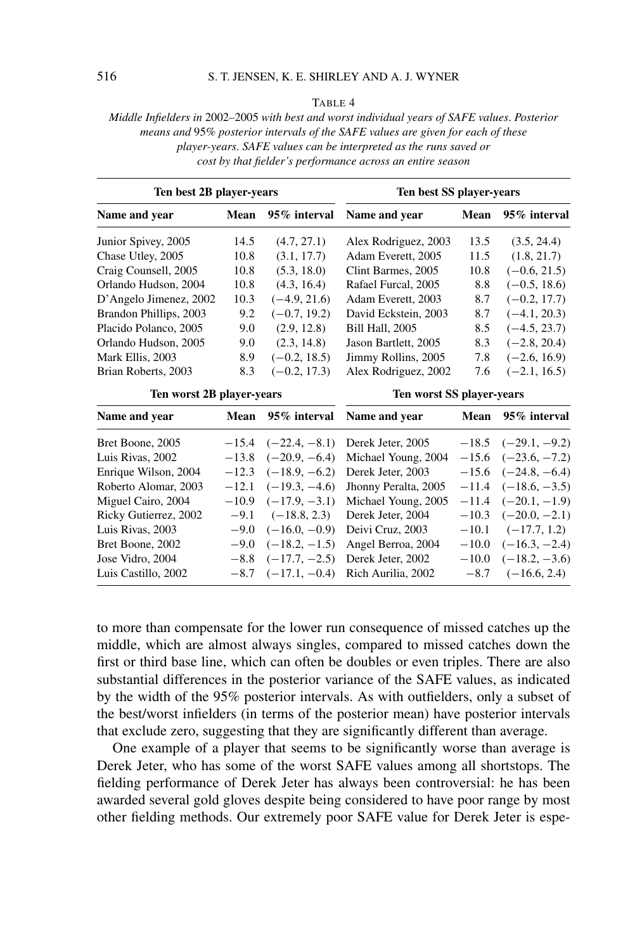#### TABLE 4

<span id="page-25-0"></span>*Middle Infielders in* 2002*–*2005 *with best and worst individual years of SAFE values*. *Posterior means and* 95*% posterior intervals of the SAFE values are given for each of these player-years*. *SAFE values can be interpreted as the runs saved or cost by that fielder's performance across an entire season*

| Ten best 2B player-years  |         |                 | Ten best SS player-years  |         |                 |  |
|---------------------------|---------|-----------------|---------------------------|---------|-----------------|--|
| Name and year             | Mean    | 95% interval    | Name and year             | Mean    | 95% interval    |  |
| Junior Spivey, 2005       | 14.5    | (4.7, 27.1)     | Alex Rodriguez, 2003      | 13.5    | (3.5, 24.4)     |  |
| Chase Utley, 2005         | 10.8    | (3.1, 17.7)     | Adam Everett, 2005        | 11.5    | (1.8, 21.7)     |  |
| Craig Counsell, 2005      | 10.8    | (5.3, 18.0)     | Clint Barmes, 2005        | 10.8    | $(-0.6, 21.5)$  |  |
| Orlando Hudson, 2004      | 10.8    | (4.3, 16.4)     | Rafael Furcal, 2005       | 8.8     | $(-0.5, 18.6)$  |  |
| D'Angelo Jimenez, 2002    | 10.3    | $(-4.9, 21.6)$  | Adam Everett, 2003        | 8.7     | $(-0.2, 17.7)$  |  |
| Brandon Phillips, 2003    | 9.2     | $(-0.7, 19.2)$  | David Eckstein, 2003      | 8.7     | $(-4.1, 20.3)$  |  |
| Placido Polanco, 2005     | 9.0     | (2.9, 12.8)     | Bill Hall, 2005           | 8.5     | $(-4.5, 23.7)$  |  |
| Orlando Hudson, 2005      | 9.0     | (2.3, 14.8)     | Jason Bartlett, 2005      | 8.3     | $(-2.8, 20.4)$  |  |
| Mark Ellis, 2003          | 8.9     | $(-0.2, 18.5)$  | Jimmy Rollins, 2005       | 7.8     | $(-2.6, 16.9)$  |  |
| Brian Roberts, 2003       | 8.3     | $(-0.2, 17.3)$  | Alex Rodriguez, 2002      | 7.6     | $(-2.1, 16.5)$  |  |
| Ten worst 2B player-years |         |                 | Ten worst SS player-years |         |                 |  |
| Name and year             | Mean    | 95% interval    | Name and year             | Mean    | 95% interval    |  |
| Bret Boone, 2005          | $-15.4$ | $(-22.4, -8.1)$ | Derek Jeter, 2005         | $-18.5$ | $(-29.1, -9.2)$ |  |
| Luis Rivas, 2002          | $-13.8$ | $(-20.9, -6.4)$ | Michael Young, 2004       | $-15.6$ | $(-23.6, -7.2)$ |  |
| Enrique Wilson, 2004      | $-12.3$ | $(-18.9, -6.2)$ | Derek Jeter, 2003         | $-15.6$ | $(-24.8, -6.4)$ |  |
| Roberto Alomar, 2003      | $-12.1$ | $(-19.3, -4.6)$ | Jhonny Peralta, 2005      | $-11.4$ | $(-18.6, -3.5)$ |  |
| Miguel Cairo, 2004        | $-10.9$ | $(-17.9, -3.1)$ | Michael Young, 2005       | $-11.4$ | $(-20.1, -1.9)$ |  |
| Ricky Gutierrez, 2002     | $-9.1$  | $(-18.8, 2.3)$  | Derek Jeter, 2004         | $-10.3$ | $(-20.0, -2.1)$ |  |
| Luis Rivas, 2003          | $-9.0$  | $(-16.0, -0.9)$ | Deivi Cruz, 2003          | $-10.1$ | $(-17.7, 1.2)$  |  |
| Bret Boone, 2002          | $-9.0$  | $(-18.2, -1.5)$ | Angel Berroa, 2004        | $-10.0$ | $(-16.3, -2.4)$ |  |
| Jose Vidro, 2004          | $-8.8$  | $(-17.7, -2.5)$ | Derek Jeter, 2002         | $-10.0$ | $(-18.2, -3.6)$ |  |
| Luis Castillo, 2002       | $-8.7$  | $(-17.1, -0.4)$ | Rich Aurilia, 2002        | $-8.7$  | $(-16.6, 2.4)$  |  |

to more than compensate for the lower run consequence of missed catches up the middle, which are almost always singles, compared to missed catches down the first or third base line, which can often be doubles or even triples. There are also substantial differences in the posterior variance of the SAFE values, as indicated by the width of the 95% posterior intervals. As with outfielders, only a subset of the best/worst infielders (in terms of the posterior mean) have posterior intervals that exclude zero, suggesting that they are significantly different than average.

One example of a player that seems to be significantly worse than average is Derek Jeter, who has some of the worst SAFE values among all shortstops. The fielding performance of Derek Jeter has always been controversial: he has been awarded several gold gloves despite being considered to have poor range by most other fielding methods. Our extremely poor SAFE value for Derek Jeter is espe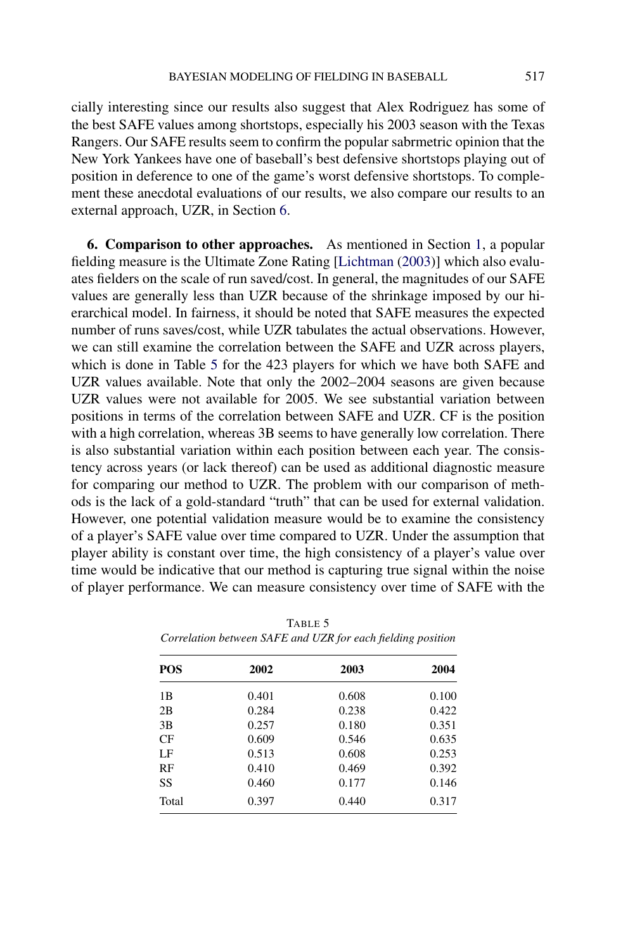<span id="page-26-0"></span>cially interesting since our results also suggest that Alex Rodriguez has some of the best SAFE values among shortstops, especially his 2003 season with the Texas Rangers. Our SAFE results seem to confirm the popular sabrmetric opinion that the New York Yankees have one of baseball's best defensive shortstops playing out of position in deference to one of the game's worst defensive shortstops. To complement these anecdotal evaluations of our results, we also compare our results to an external approach, UZR, in Section 6.

**6. Comparison to other approaches.** As mentioned in Section [1,](#page-0-0) a popular fielding measure is the Ultimate Zone Rating [\[Lichtman](#page-29-0) [\(2003\)](#page-29-0)] which also evaluates fielders on the scale of run saved/cost. In general, the magnitudes of our SAFE values are generally less than UZR because of the shrinkage imposed by our hierarchical model. In fairness, it should be noted that SAFE measures the expected number of runs saves/cost, while UZR tabulates the actual observations. However, we can still examine the correlation between the SAFE and UZR across players, which is done in Table 5 for the 423 players for which we have both SAFE and UZR values available. Note that only the 2002–2004 seasons are given because UZR values were not available for 2005. We see substantial variation between positions in terms of the correlation between SAFE and UZR. CF is the position with a high correlation, whereas 3B seems to have generally low correlation. There is also substantial variation within each position between each year. The consistency across years (or lack thereof) can be used as additional diagnostic measure for comparing our method to UZR. The problem with our comparison of methods is the lack of a gold-standard "truth" that can be used for external validation. However, one potential validation measure would be to examine the consistency of a player's SAFE value over time compared to UZR. Under the assumption that player ability is constant over time, the high consistency of a player's value over time would be indicative that our method is capturing true signal within the noise of player performance. We can measure consistency over time of SAFE with the

| <b>POS</b> | 2002  | 2003  | 2004  |
|------------|-------|-------|-------|
| 1B         | 0.401 | 0.608 | 0.100 |
| 2B         | 0.284 | 0.238 | 0.422 |
| 3B         | 0.257 | 0.180 | 0.351 |
| CF         | 0.609 | 0.546 | 0.635 |
| LF         | 0.513 | 0.608 | 0.253 |
| RF         | 0.410 | 0.469 | 0.392 |
| SS         | 0.460 | 0.177 | 0.146 |
| Total      | 0.397 | 0.440 | 0.317 |

TABLE 5 *Correlation between SAFE and UZR for each fielding position*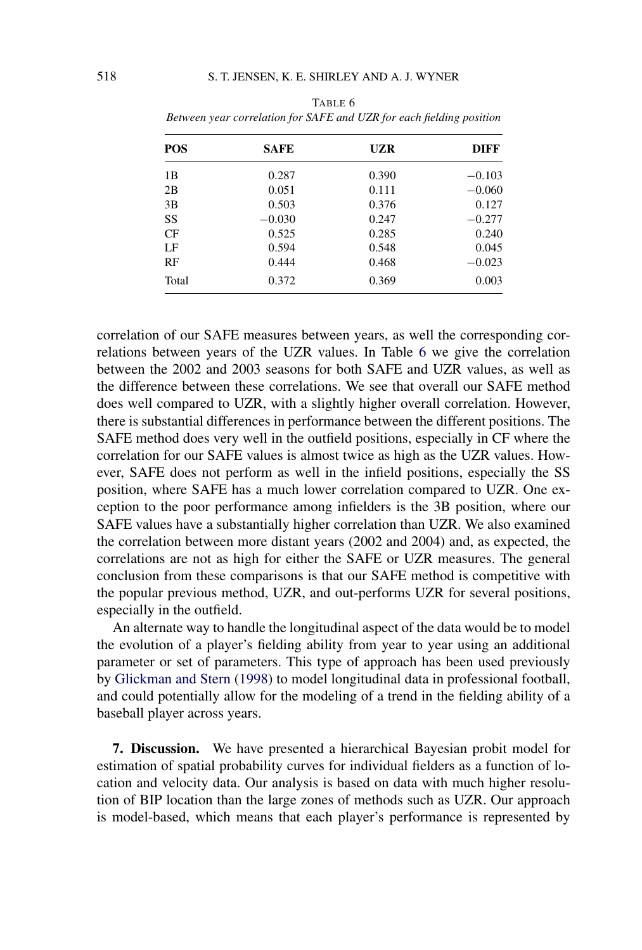| <b>POS</b> | <b>SAFE</b> | <b>UZR</b> | DIFF     |
|------------|-------------|------------|----------|
| 1 B        | 0.287       | 0.390      | $-0.103$ |
| 2B         | 0.051       | 0.111      | $-0.060$ |
| 3B         | 0.503       | 0.376      | 0.127    |
| SS         | $-0.030$    | 0.247      | $-0.277$ |
| CF         | 0.525       | 0.285      | 0.240    |
| LF         | 0.594       | 0.548      | 0.045    |
| RF         | 0.444       | 0.468      | $-0.023$ |
| Total      | 0.372       | 0.369      | 0.003    |

<span id="page-27-0"></span>TABLE 6 *Between year correlation for SAFE and UZR for each fielding position*

correlation of our SAFE measures between years, as well the corresponding correlations between years of the UZR values. In Table 6 we give the correlation between the 2002 and 2003 seasons for both SAFE and UZR values, as well as the difference between these correlations. We see that overall our SAFE method does well compared to UZR, with a slightly higher overall correlation. However, there is substantial differences in performance between the different positions. The SAFE method does very well in the outfield positions, especially in CF where the correlation for our SAFE values is almost twice as high as the UZR values. However, SAFE does not perform as well in the infield positions, especially the SS position, where SAFE has a much lower correlation compared to UZR. One exception to the poor performance among infielders is the 3B position, where our SAFE values have a substantially higher correlation than UZR. We also examined the correlation between more distant years (2002 and 2004) and, as expected, the correlations are not as high for either the SAFE or UZR measures. The general conclusion from these comparisons is that our SAFE method is competitive with the popular previous method, UZR, and out-performs UZR for several positions, especially in the outfield.

An alternate way to handle the longitudinal aspect of the data would be to model the evolution of a player's fielding ability from year to year using an additional parameter or set of parameters. This type of approach has been used previously by [Glickman and Stern](#page-29-0) [\(1998\)](#page-29-0) to model longitudinal data in professional football, and could potentially allow for the modeling of a trend in the fielding ability of a baseball player across years.

**7. Discussion.** We have presented a hierarchical Bayesian probit model for estimation of spatial probability curves for individual fielders as a function of location and velocity data. Our analysis is based on data with much higher resolution of BIP location than the large zones of methods such as UZR. Our approach is model-based, which means that each player's performance is represented by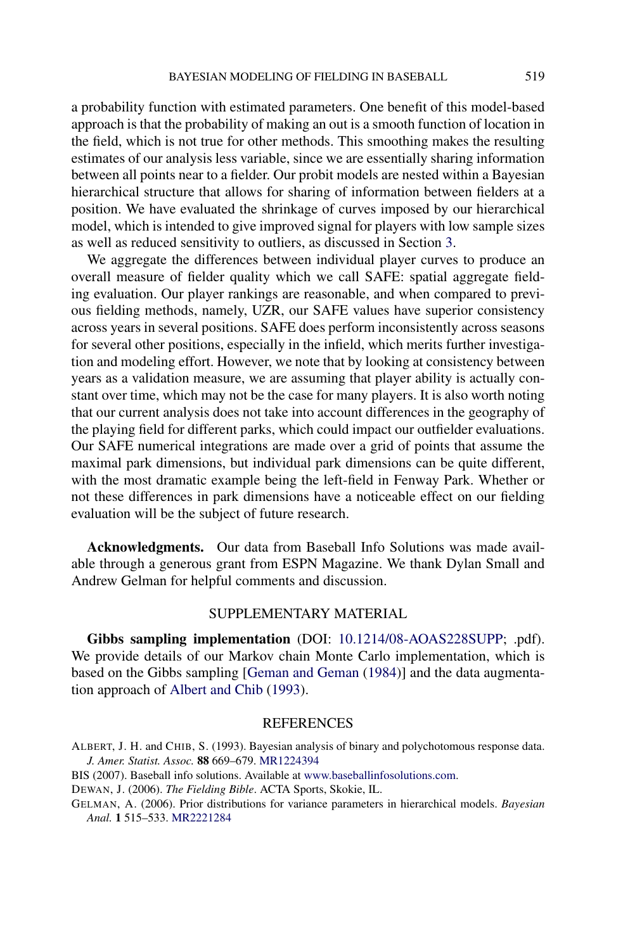<span id="page-28-0"></span>a probability function with estimated parameters. One benefit of this model-based approach is that the probability of making an out is a smooth function of location in the field, which is not true for other methods. This smoothing makes the resulting estimates of our analysis less variable, since we are essentially sharing information between all points near to a fielder. Our probit models are nested within a Bayesian hierarchical structure that allows for sharing of information between fielders at a position. We have evaluated the shrinkage of curves imposed by our hierarchical model, which is intended to give improved signal for players with low sample sizes as well as reduced sensitivity to outliers, as discussed in Section [3.](#page-7-0)

We aggregate the differences between individual player curves to produce an overall measure of fielder quality which we call SAFE: spatial aggregate fielding evaluation. Our player rankings are reasonable, and when compared to previous fielding methods, namely, UZR, our SAFE values have superior consistency across years in several positions. SAFE does perform inconsistently across seasons for several other positions, especially in the infield, which merits further investigation and modeling effort. However, we note that by looking at consistency between years as a validation measure, we are assuming that player ability is actually constant over time, which may not be the case for many players. It is also worth noting that our current analysis does not take into account differences in the geography of the playing field for different parks, which could impact our outfielder evaluations. Our SAFE numerical integrations are made over a grid of points that assume the maximal park dimensions, but individual park dimensions can be quite different, with the most dramatic example being the left-field in Fenway Park. Whether or not these differences in park dimensions have a noticeable effect on our fielding evaluation will be the subject of future research.

**Acknowledgments.** Our data from Baseball Info Solutions was made available through a generous grant from ESPN Magazine. We thank Dylan Small and Andrew Gelman for helpful comments and discussion.

## SUPPLEMENTARY MATERIAL

**Gibbs sampling implementation** (DOI: [10.1214/08-AOAS228SUPP;](http://dx.doi.org/10.1214/08-AOAS228SUPP) .pdf). We provide details of our Markov chain Monte Carlo implementation, which is based on the Gibbs sampling [\[Geman and Geman](#page-29-0) [\(1984\)](#page-29-0)] and the data augmentation approach of Albert and Chib (1993).

### **REFERENCES**

ALBERT, J. H. and CHIB, S. (1993). Bayesian analysis of binary and polychotomous response data. *J. Amer. Statist. Assoc.* **88** 669–679. [MR1224394](http://www.ams.org/mathscinet-getitem?mr=1224394)

BIS (2007). Baseball info solutions. Available at [www.baseballinfosolutions.com](http://www.baseballinfosolutions.com).

DEWAN, J. (2006). *The Fielding Bible*. ACTA Sports, Skokie, IL.

GELMAN, A. (2006). Prior distributions for variance parameters in hierarchical models. *Bayesian Anal.* **1** 515–533. [MR2221284](http://www.ams.org/mathscinet-getitem?mr=2221284)